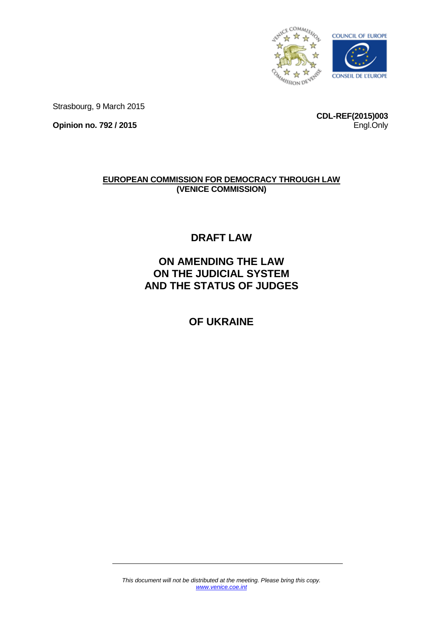

Strasbourg, 9 March 2015

**Opinion no. 792 / 2015**

**CDL-REF(2015)003** Engl.Only

# **EUROPEAN COMMISSION FOR DEMOCRACY THROUGH LAW (VENICE COMMISSION)**

**DRAFT LAW**

**ON AMENDING THE LAW ON THE JUDICIAL SYSTEM AND THE STATUS OF JUDGES**

# **OF UKRAINE**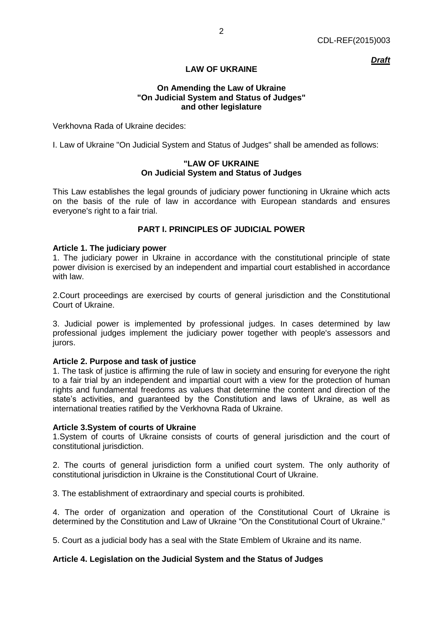*Draft*

# **LAW OF UKRAINE**

### **On Amending the Law of Ukraine "On Judicial System and Status of Judges" and other legislature**

Verkhovna Rada of Ukraine decides:

I. Law of Ukraine "On Judicial System and Status of Judges" shall be amended as follows:

### **"LAW OF UKRAINE On Judicial System and Status of Judges**

This Law establishes the legal grounds of judiciary power functioning in Ukraine which acts on the basis of the rule of law in accordance with European standards and ensures everyone's right to a fair trial.

# **PART I. PRINCIPLES OF JUDICIAL POWER**

### **Article 1. The judiciary power**

1. The judiciary power in Ukraine in accordance with the constitutional principle of state power division is exercised by an independent and impartial court established in accordance with law.

2.Court proceedings are exercised by courts of general jurisdiction and the Constitutional Court of Ukraine.

3. Judicial power is implemented by professional judges. In cases determined by law professional judges implement the judiciary power together with people's assessors and jurors.

### **Article 2. Purpose and task of justice**

1. The task of justice is affirming the rule of law in society and ensuring for everyone the right to a fair trial by an independent and impartial court with a view for the protection of human rights and fundamental freedoms as values that determine the content and direction of the state's activities, and guaranteed by the Constitution and laws of Ukraine, as well as international treaties ratified by the Verkhovna Rada of Ukraine.

### **Article 3.System of courts of Ukraine**

1.System of courts of Ukraine consists of courts of general jurisdiction and the court of constitutional jurisdiction.

2. The courts of general jurisdiction form a unified court system. The only authority of constitutional jurisdiction in Ukraine is the Constitutional Court of Ukraine.

3. The establishment of extraordinary and special courts is prohibited.

4. The order of organization and operation of the Constitutional Court of Ukraine is determined by the Constitution and Law of Ukraine "On the Constitutional Court of Ukraine."

5. Court as a judicial body has a seal with the State Emblem of Ukraine and its name.

# **Article 4. Legislation on the Judicial System and the Status of Judges**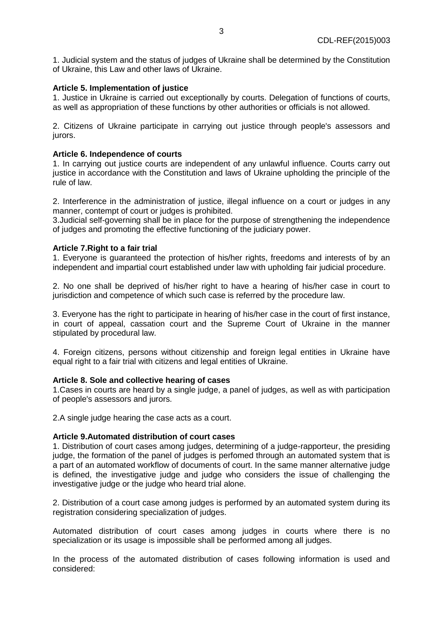1. Judicial system and the status of judges of Ukraine shall be determined by the Constitution of Ukraine, this Law and other laws of Ukraine.

### **Article 5. Implementation of justice**

1. Justice in Ukraine is carried out exceptionally by courts. Delegation of functions of courts, as well as appropriation of these functions by other authorities or officials is not allowed.

2. Citizens of Ukraine participate in carrying out justice through people's assessors and jurors.

### **Article 6. Independence of courts**

1. In carrying out justice courts are independent of any unlawful influence. Courts carry out justice in accordance with the Constitution and laws of Ukraine upholding the principle of the rule of law.

2. Interference in the administration of justice, illegal influence on a court or judges in any manner, contempt of court or judges is prohibited.

3.Judicial self-governing shall be in place for the purpose of strengthening the independence of judges and promoting the effective functioning of the judiciary power.

# **Article 7.Right to a fair trial**

1. Everyone is guaranteed the protection of his/her rights, freedoms and interests of by an independent and impartial court established under law with upholding fair judicial procedure.

2. No one shall be deprived of his/her right to have a hearing of his/her case in court to jurisdiction and competence of which such case is referred by the procedure law.

3. Everyone has the right to participate in hearing of his/her case in the court of first instance, in court of appeal, cassation court and the Supreme Court of Ukraine in the manner stipulated by procedural law.

4. Foreign citizens, persons without citizenship and foreign legal entities in Ukraine have equal right to a fair trial with citizens and legal entities of Ukraine.

### **Article 8. Sole and collective hearing of cases**

1.Cases in courts are heard by a single judge, a panel of judges, as well as with participation of people's assessors and jurors.

2.A single judge hearing the case acts as a court.

### **Article 9.Automated distribution of court cases**

1. Distribution of court cases among judges, determining of a judge-rapporteur, the presiding judge, the formation of the panel of judges is perfomed through an automated system that is a part of an automated workflow of documents of court. In the same manner alternative judge is defined, the investigative judge and judge who considers the issue of challenging the investigative judge or the judge who heard trial alone.

2. Distribution of a court case among judges is performed by an automated system during its registration considering specialization of judges.

Automated distribution of court cases among judges in courts where there is no specialization or its usage is impossible shall be performed among all judges.

In the process of the automated distribution of cases following information is used and considered: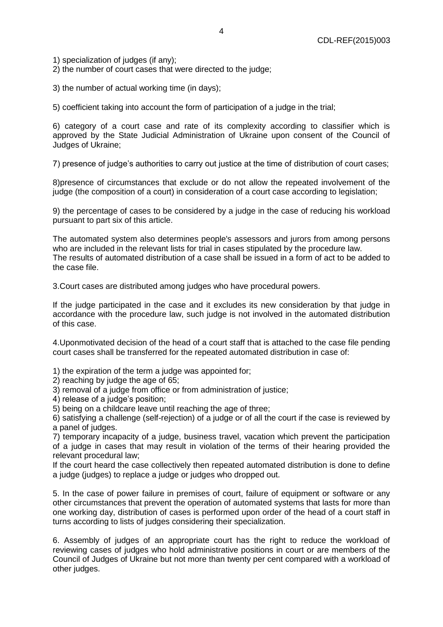1) specialization of judges (if any);

2) the number of court cases that were directed to the judge;

3) the number of actual working time (in days);

5) coefficient taking into account the form of participation of a judge in the trial;

6) category of a court case and rate of its complexity according to classifier which is approved by the State Judicial Administration of Ukraine upon consent of the Council of Judges of Ukraine;

7) presence of judge's authorities to carry out justice at the time of distribution of court cases;

8)presence of circumstances that exclude or do not allow the repeated involvement of the judge (the composition of a court) in consideration of a court case according to legislation;

9) the percentage of cases to be considered by a judge in the case of reducing his workload pursuant to part six of this article.

The automated system also determines people's assessors and jurors from among persons who are included in the relevant lists for trial in cases stipulated by the procedure law. The results of automated distribution of a case shall be issued in a form of act to be added to the case file.

3.Court cases are distributed among judges who have procedural powers.

If the judge participated in the case and it excludes its new consideration by that judge in accordance with the procedure law, such judge is not involved in the automated distribution of this case.

4.Uponmotivated decision of the head of a court staff that is attached to the case file pending court cases shall be transferred for the repeated automated distribution in case of:

1) the expiration of the term a judge was appointed for;

2) reaching by judge the age of 65;

- 3) removal of a judge from office or from administration of justice;
- 4) release of a judge's position;

5) being on a childcare leave until reaching the age of three;

6) satisfying a challenge (self-rejection) of a judge or of all the court if the case is reviewed by a panel of judges.

7) temporary incapacity of a judge, business travel, vacation which prevent the participation of a judge in cases that may result in violation of the terms of their hearing provided the relevant procedural law;

If the court heard the case collectively then repeated automated distribution is done to define a judge (judges) to replace a judge or judges who dropped out.

5. In the case of power failure in premises of court, failure of equipment or software or any other circumstances that prevent the operation of automated systems that lasts for more than one working day, distribution of cases is performed upon order of the head of a court staff in turns according to lists of judges considering their specialization.

6. Assembly of judges of an appropriate court has the right to reduce the workload of reviewing cases of judges who hold administrative positions in court or are members of the Council of Judges of Ukraine but not more than twenty per cent compared with a workload of other judges.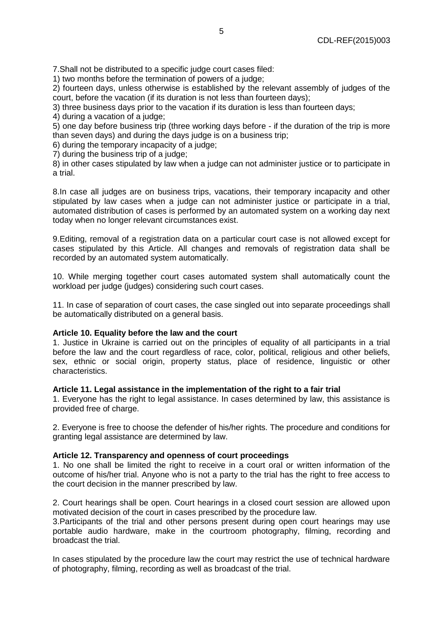7.Shall not be distributed to a specific judge court cases filed:

1) two months before the termination of powers of a judge;

2) fourteen days, unless otherwise is established by the relevant assembly of judges of the court, before the vacation (if its duration is not less than fourteen days);

3) three business days prior to the vacation if its duration is less than fourteen days;

4) during a vacation of a judge;

5) one day before business trip (three working days before - if the duration of the trip is more than seven days) and during the days judge is on a business trip;

6) during the temporary incapacity of a judge;

7) during the business trip of a judge;

8) in other cases stipulated by law when a judge can not administer justice or to participate in a trial.

8.In case all judges are on business trips, vacations, their temporary incapacity and other stipulated by law cases when a judge can not administer justice or participate in a trial, automated distribution of cases is performed by an automated system on a working day next today when no longer relevant circumstances exist.

9.Editing, removal of a registration data on a particular court case is not allowed except for cases stipulated by this Article. All changes and removals of registration data shall be recorded by an automated system automatically.

10. While merging together court cases automated system shall automatically count the workload per judge (judges) considering such court cases.

11. In case of separation of court cases, the case singled out into separate proceedings shall be automatically distributed on a general basis.

### **Article 10. Equality before the law and the court**

1. Justice in Ukraine is carried out on the principles of equality of all participants in a trial before the law and the court regardless of race, color, political, religious and other beliefs, sex, ethnic or social origin, property status, place of residence, linguistic or other characteristics.

### **Article 11. Legal assistance in the implementation of the right to a fair trial**

1. Everyone has the right to legal assistance. In cases determined by law, this assistance is provided free of charge.

2. Everyone is free to choose the defender of his/her rights. The procedure and conditions for granting legal assistance are determined by law.

### **Article 12. Transparency and openness of court proceedings**

1. No one shall be limited the right to receive in a court oral or written information of the outcome of his/her trial. Anyone who is not a party to the trial has the right to free access to the court decision in the manner prescribed by law.

2. Court hearings shall be open. Court hearings in a closed court session are allowed upon motivated decision of the court in cases prescribed by the procedure law.

3.Participants of the trial and other persons present during open court hearings may use portable audio hardware, make in the courtroom photography, filming, recording and broadcast the trial.

In cases stipulated by the procedure law the court may restrict the use of technical hardware of photography, filming, recording as well as broadcast of the trial.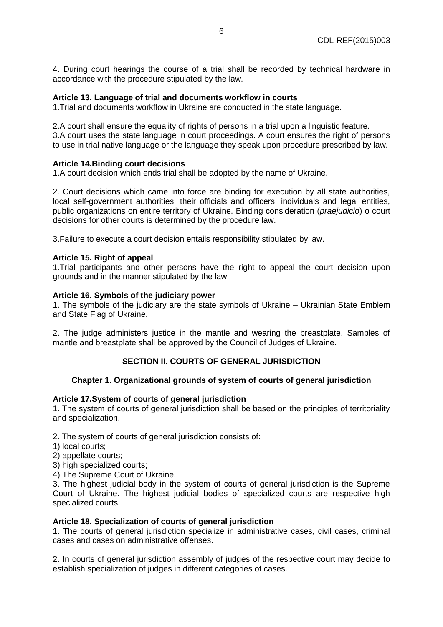4. During court hearings the course of a trial shall be recorded by technical hardware in accordance with the procedure stipulated by the law.

### **Article 13. Language of trial and documents workflow in courts**

1.Trial and documents workflow in Ukraine are conducted in the state language.

2.A court shall ensure the equality of rights of persons in a trial upon a linguistic feature. 3.A court uses the state language in court proceedings. A court ensures the right of persons to use in trial native language or the language they speak upon procedure prescribed by law.

# **Article 14.Binding court decisions**

1.A court decision which ends trial shall be adopted by the name of Ukraine.

2. Court decisions which came into force are binding for execution by all state authorities, local self-government authorities, their officials and officers, individuals and legal entities, public organizations on entire territory of Ukraine. Binding consideration (*praejudicio*) o court decisions for other courts is determined by the procedure law.

3.Failure to execute a court decision entails responsibility stipulated by law.

### **Article 15. Right of appeal**

1.Trial participants and other persons have the right to appeal the court decision upon grounds and in the manner stipulated by the law.

### **Article 16. Symbols of the judiciary power**

1. The symbols of the judiciary are the state symbols of Ukraine – Ukrainian State Emblem and State Flag of Ukraine.

2. The judge administers justice in the mantle and wearing the breastplate. Samples of mantle and breastplate shall be approved by the Council of Judges of Ukraine.

# **SECTION II. COURTS OF GENERAL JURISDICTION**

### **Chapter 1. Organizational grounds of system of courts of general jurisdiction**

### **Article 17.System of courts of general jurisdiction**

1. The system of courts of general jurisdiction shall be based on the principles of territoriality and specialization.

2. The system of courts of general jurisdiction consists of:

- 1) local courts;
- 2) appellate courts;
- 3) high specialized courts;
- 4) The Supreme Court of Ukraine.

3. The highest judicial body in the system of courts of general jurisdiction is the Supreme Court of Ukraine. The highest judicial bodies of specialized courts are respective high specialized courts.

### **Article 18. Specialization of courts of general jurisdiction**

1. The courts of general jurisdiction specialize in administrative cases, civil cases, criminal cases and cases on administrative offenses.

2. In courts of general jurisdiction assembly of judges of the respective court may decide to establish specialization of judges in different categories of cases.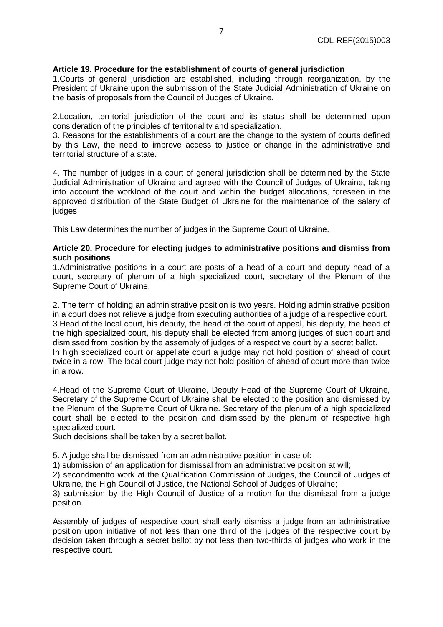# **Article 19. Procedure for the establishment of courts of general jurisdiction**

1.Courts of general jurisdiction are established, including through reorganization, by the President of Ukraine upon the submission of the State Judicial Administration of Ukraine on the basis of proposals from the Council of Judges of Ukraine.

2.Location, territorial jurisdiction of the court and its status shall be determined upon consideration of the principles of territoriality and specialization.

3. Reasons for the establishments of a court are the change to the system of courts defined by this Law, the need to improve access to justice or change in the administrative and territorial structure of a state.

4. The number of judges in a court of general jurisdiction shall be determined by the State Judicial Administration of Ukraine and agreed with the Council of Judges of Ukraine, taking into account the workload of the court and within the budget allocations, foreseen in the approved distribution of the State Budget of Ukraine for the maintenance of the salary of judges.

This Law determines the number of judges in the Supreme Court of Ukraine.

### **Article 20. Procedure for electing judges to administrative positions and dismiss from such positions**

1.Administrative positions in a court are posts of a head of a court and deputy head of a court, secretary of plenum of a high specialized court, secretary of the Plenum of the Supreme Court of Ukraine.

2. The term of holding an administrative position is two years. Holding administrative position in a court does not relieve a judge from executing authorities of a judge of a respective court. 3.Head of the local court, his deputy, the head of the court of appeal, his deputy, the head of the high specialized court, his deputy shall be elected from among judges of such court and dismissed from position by the assembly of judges of a respective court by a secret ballot. In high specialized court or appellate court a judge may not hold position of ahead of court twice in a row. The local court judge may not hold position of ahead of court more than twice in a row.

4.Head of the Supreme Court of Ukraine, Deputy Head of the Supreme Court of Ukraine, Secretary of the Supreme Court of Ukraine shall be elected to the position and dismissed by the Plenum of the Supreme Court of Ukraine. Secretary of the plenum of a high specialized court shall be elected to the position and dismissed by the plenum of respective high specialized court.

Such decisions shall be taken by a secret ballot.

5. A judge shall be dismissed from an administrative position in case of:

1) submission of an application for dismissal from an administrative position at will;

2) secondmentto work at the Qualification Commission of Judges, the Council of Judges of Ukraine, the High Council of Justice, the National School of Judges of Ukraine;

3) submission by the High Council of Justice of a motion for the dismissal from a judge position.

Assembly of judges of respective court shall early dismiss a judge from an administrative position upon initiative of not less than one third of the judges of the respective court by decision taken through a secret ballot by not less than two-thirds of judges who work in the respective court.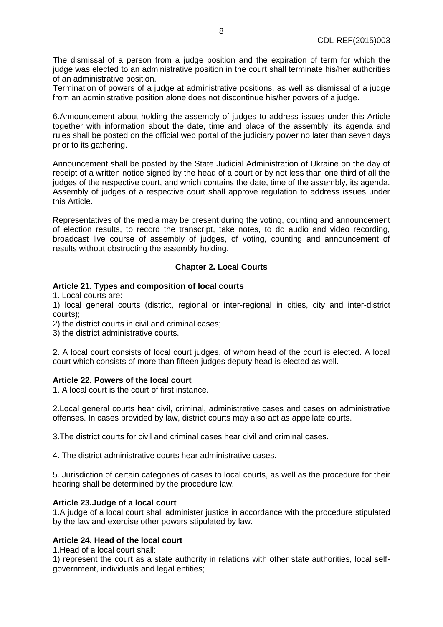The dismissal of a person from a judge position and the expiration of term for which the judge was elected to an administrative position in the court shall terminate his/her authorities of an administrative position.

Termination of powers of a judge at administrative positions, as well as dismissal of a judge from an administrative position alone does not discontinue his/her powers of a judge.

6.Announcement about holding the assembly of judges to address issues under this Article together with information about the date, time and place of the assembly, its agenda and rules shall be posted on the official web portal of the judiciary power no later than seven days prior to its gathering.

Announcement shall be posted by the State Judicial Administration of Ukraine on the day of receipt of a written notice signed by the head of a court or by not less than one third of all the judges of the respective court, and which contains the date, time of the assembly, its agenda. Assembly of judges of a respective court shall approve regulation to address issues under this Article.

Representatives of the media may be present during the voting, counting and announcement of election results, to record the transcript, take notes, to do audio and video recording, broadcast live course of assembly of judges, of voting, counting and announcement of results without obstructing the assembly holding.

# **Chapter 2. Local Courts**

# **Article 21. Types and composition of local courts**

1. Local courts are:

1) local general courts (district, regional or inter-regional in cities, city and inter-district courts);

2) the district courts in civil and criminal cases;

3) the district administrative courts.

2. A local court consists of local court judges, of whom head of the court is elected. A local court which consists of more than fifteen judges deputy head is elected as well.

### **Article 22. Powers of the local court**

1. A local court is the court of first instance.

2.Local general courts hear civil, criminal, administrative cases and cases on administrative offenses. In cases provided by law, district courts may also act as appellate courts.

3.The district courts for civil and criminal cases hear civil and criminal cases.

4. The district administrative courts hear administrative cases.

5. Jurisdiction of certain categories of cases to local courts, as well as the procedure for their hearing shall be determined by the procedure law.

# **Article 23.Judge of a local court**

1.A judge of a local court shall administer justice in accordance with the procedure stipulated by the law and exercise other powers stipulated by law.

# **Article 24. Head of the local court**

1.Head of a local court shall:

1) represent the court as a state authority in relations with other state authorities, local selfgovernment, individuals and legal entities;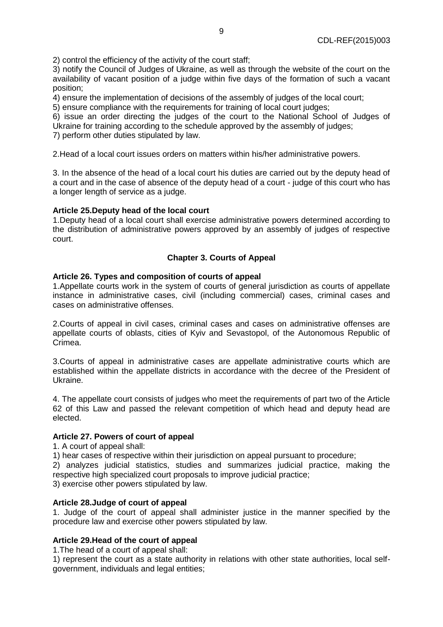2) control the efficiency of the activity of the court staff;

3) notify the Council of Judges of Ukraine, as well as through the website of the court on the availability of vacant position of a judge within five days of the formation of such a vacant position;

4) ensure the implementation of decisions of the assembly of judges of the local court;

5) ensure compliance with the requirements for training of local court judges;

6) issue an order directing the judges of the court to the National School of Judges of Ukraine for training according to the schedule approved by the assembly of judges;

7) perform other duties stipulated by law.

2.Head of a local court issues orders on matters within his/her administrative powers.

3. In the absence of the head of a local court his duties are carried out by the deputy head of a court and in the case of absence of the deputy head of a court - judge of this court who has a longer length of service as a judge.

### **Article 25.Deputy head of the local court**

1.Deputy head of a local court shall exercise administrative powers determined according to the distribution of administrative powers approved by an assembly of judges of respective court.

# **Chapter 3. Courts of Appeal**

# **Article 26. Types and composition of courts of appeal**

1.Appellate courts work in the system of courts of general jurisdiction as courts of appellate instance in administrative cases, civil (including commercial) cases, criminal cases and cases on administrative offenses.

2.Courts of appeal in civil cases, criminal cases and cases on administrative offenses are appellate courts of oblasts, cities of Kyiv and Sevastopol, of the Autonomous Republic of Crimea.

3.Courts of appeal in administrative cases are appellate administrative courts which are established within the appellate districts in accordance with the decree of the President of Ukraine.

4. The appellate court consists of judges who meet the requirements of part two of the Article 62 of this Law and passed the relevant competition of which head and deputy head are elected.

### **Article 27. Powers of court of appeal**

1. A court of appeal shall:

1) hear cases of respective within their jurisdiction on appeal pursuant to procedure;

2) analyzes judicial statistics, studies and summarizes judicial practice, making the respective high specialized court proposals to improve judicial practice;

3) exercise other powers stipulated by law.

### **Article 28.Judge of court of appeal**

1. Judge of the court of appeal shall administer justice in the manner specified by the procedure law and exercise other powers stipulated by law.

# **Article 29.Head of the court of appeal**

1.The head of a court of appeal shall:

1) represent the court as a state authority in relations with other state authorities, local selfgovernment, individuals and legal entities;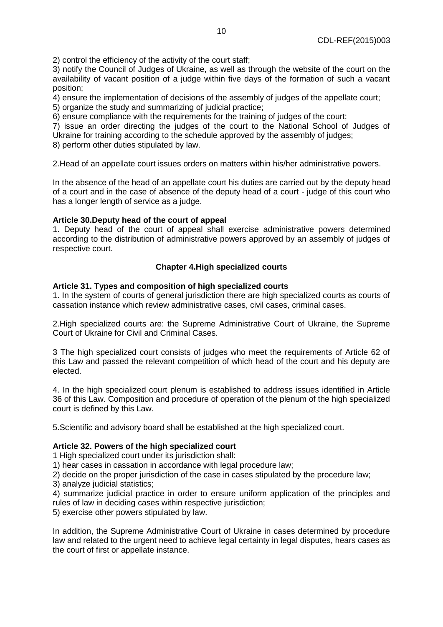2) control the efficiency of the activity of the court staff;

3) notify the Council of Judges of Ukraine, as well as through the website of the court on the availability of vacant position of a judge within five days of the formation of such a vacant position;

4) ensure the implementation of decisions of the assembly of judges of the appellate court;

5) organize the study and summarizing of judicial practice;

6) ensure compliance with the requirements for the training of judges of the court;

7) issue an order directing the judges of the court to the National School of Judges of Ukraine for training according to the schedule approved by the assembly of judges;

8) perform other duties stipulated by law.

2.Head of an appellate court issues orders on matters within his/her administrative powers.

In the absence of the head of an appellate court his duties are carried out by the deputy head of a court and in the case of absence of the deputy head of a court - judge of this court who has a longer length of service as a judge.

# **Article 30.Deputy head of the court of appeal**

1. Deputy head of the court of appeal shall exercise administrative powers determined according to the distribution of administrative powers approved by an assembly of judges of respective court.

# **Chapter 4.High specialized courts**

# **Article 31. Types and composition of high specialized courts**

1. In the system of courts of general jurisdiction there are high specialized courts as courts of cassation instance which review administrative cases, civil cases, criminal cases.

2.High specialized courts are: the Supreme Administrative Court of Ukraine, the Supreme Court of Ukraine for Civil and Criminal Cases.

3 The high specialized court consists of judges who meet the requirements of Article 62 of this Law and passed the relevant competition of which head of the court and his deputy are elected.

4. In the high specialized court plenum is established to address issues identified in Article 36 of this Law. Composition and procedure of operation of the plenum of the high specialized court is defined by this Law.

5.Scientific and advisory board shall be established at the high specialized court.

### **Article 32. Powers of the high specialized court**

1 High specialized court under its jurisdiction shall:

1) hear cases in cassation in accordance with legal procedure law;

2) decide on the proper jurisdiction of the case in cases stipulated by the procedure law;

3) analyze judicial statistics;

4) summarize judicial practice in order to ensure uniform application of the principles and rules of law in deciding cases within respective jurisdiction;

5) exercise other powers stipulated by law.

In addition, the Supreme Administrative Court of Ukraine in cases determined by procedure law and related to the urgent need to achieve legal certainty in legal disputes, hears cases as the court of first or appellate instance.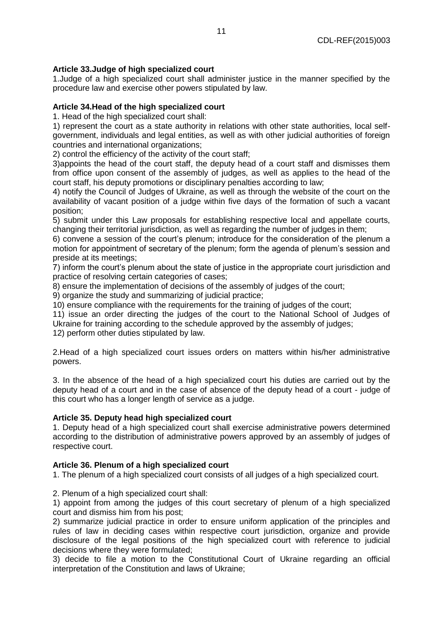# **Article 33.Judge of high specialized court**

1.Judge of a high specialized court shall administer justice in the manner specified by the procedure law and exercise other powers stipulated by law.

# **Article 34.Head of the high specialized court**

1. Head of the high specialized court shall:

1) represent the court as a state authority in relations with other state authorities, local selfgovernment, individuals and legal entities, as well as with other judicial authorities of foreign countries and international organizations;

2) control the efficiency of the activity of the court staff;

3)appoints the head of the court staff, the deputy head of a court staff and dismisses them from office upon consent of the assembly of judges, as well as applies to the head of the court staff, his deputy promotions or disciplinary penalties according to law;

4) notify the Council of Judges of Ukraine, as well as through the website of the court on the availability of vacant position of a judge within five days of the formation of such a vacant position;

5) submit under this Law proposals for establishing respective local and appellate courts, changing their territorial jurisdiction, as well as regarding the number of judges in them;

6) convene a session of the court's plenum; introduce for the consideration of the plenum a motion for appointment of secretary of the plenum; form the agenda of plenum's session and preside at its meetings;

7) inform the court's plenum about the state of justice in the appropriate court jurisdiction and practice of resolving certain categories of cases;

8) ensure the implementation of decisions of the assembly of judges of the court;

9) organize the study and summarizing of judicial practice;

10) ensure compliance with the requirements for the training of judges of the court;

11) issue an order directing the judges of the court to the National School of Judges of Ukraine for training according to the schedule approved by the assembly of judges;

12) perform other duties stipulated by law.

2.Head of a high specialized court issues orders on matters within his/her administrative powers.

3. In the absence of the head of a high specialized court his duties are carried out by the deputy head of a court and in the case of absence of the deputy head of a court - judge of this court who has a longer length of service as a judge.

# **Article 35. Deputy head high specialized court**

1. Deputy head of a high specialized court shall exercise administrative powers determined according to the distribution of administrative powers approved by an assembly of judges of respective court.

# **Article 36. Plenum of a high specialized court**

1. The plenum of a high specialized court consists of all judges of a high specialized court.

2. Plenum of a high specialized court shall:

1) appoint from among the judges of this court secretary of plenum of a high specialized court and dismiss him from his post;

2) summarize judicial practice in order to ensure uniform application of the principles and rules of law in deciding cases within respective court jurisdiction, organize and provide disclosure of the legal positions of the high specialized court with reference to judicial decisions where they were formulated;

3) decide to file a motion to the Constitutional Court of Ukraine regarding an official interpretation of the Constitution and laws of Ukraine;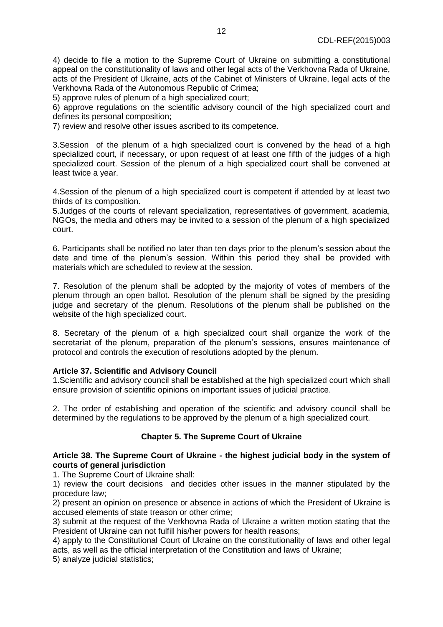4) decide to file a motion to the Supreme Court of Ukraine on submitting a constitutional appeal on the constitutionality of laws and other legal acts of the Verkhovna Rada of Ukraine, acts of the President of Ukraine, acts of the Cabinet of Ministers of Ukraine, legal acts of the Verkhovna Rada of the Autonomous Republic of Crimea;

5) approve rules of plenum of a high specialized court;

6) approve regulations on the scientific advisory council of the high specialized court and defines its personal composition;

7) review and resolve other issues ascribed to its competence.

3.Session of the plenum of a high specialized court is convened by the head of a high specialized court, if necessary, or upon request of at least one fifth of the judges of a high specialized court. Session of the plenum of a high specialized court shall be convened at least twice a year.

4.Session of the plenum of a high specialized court is competent if attended by at least two thirds of its composition.

5.Judges of the courts of relevant specialization, representatives of government, academia, NGOs, the media and others may be invited to a session of the plenum of a high specialized court.

6. Participants shall be notified no later than ten days prior to the plenum's session about the date and time of the plenum's session. Within this period they shall be provided with materials which are scheduled to review at the session.

7. Resolution of the plenum shall be adopted by the majority of votes of members of the plenum through an open ballot. Resolution of the plenum shall be signed by the presiding judge and secretary of the plenum. Resolutions of the plenum shall be published on the website of the high specialized court.

8. Secretary of the plenum of a high specialized court shall organize the work of the secretariat of the plenum, preparation of the plenum's sessions, ensures maintenance of protocol and controls the execution of resolutions adopted by the plenum.

# **Article 37. Scientific and Advisory Council**

1.Scientific and advisory council shall be established at the high specialized court which shall ensure provision of scientific opinions on important issues of judicial practice.

2. The order of establishing and operation of the scientific and advisory council shall be determined by the regulations to be approved by the plenum of a high specialized court.

# **Chapter 5. The Supreme Court of Ukraine**

# **Article 38. The Supreme Court of Ukraine - the highest judicial body in the system of courts of general jurisdiction**

1. The Supreme Court of Ukraine shall:

1) review the court decisions and decides other issues in the manner stipulated by the procedure law;

2) present an opinion on presence or absence in actions of which the President of Ukraine is accused elements of state treason or other crime;

3) submit at the request of the Verkhovna Rada of Ukraine a written motion stating that the President of Ukraine can not fulfill his/her powers for health reasons;

4) apply to the Constitutional Court of Ukraine on the constitutionality of laws and other legal acts, as well as the official interpretation of the Constitution and laws of Ukraine;

5) analyze judicial statistics;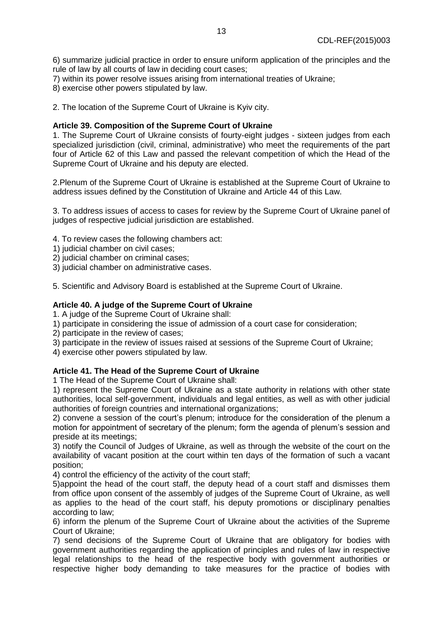6) summarize judicial practice in order to ensure uniform application of the principles and the rule of law by all courts of law in deciding court cases;

- 7) within its power resolve issues arising from international treaties of Ukraine;
- 8) exercise other powers stipulated by law.

2. The location of the Supreme Court of Ukraine is Kyiv city.

# **Article 39. Composition of the Supreme Court of Ukraine**

1. The Supreme Court of Ukraine consists of fourty-eight judges - sixteen judges from each specialized jurisdiction (civil, criminal, administrative) who meet the requirements of the part four of Article 62 of this Law and passed the relevant competition of which the Head of the Supreme Court of Ukraine and his deputy are elected.

2.Plenum of the Supreme Court of Ukraine is established at the Supreme Court of Ukraine to address issues defined by the Constitution of Ukraine and Article 44 of this Law.

3. To address issues of access to cases for review by the Supreme Court of Ukraine panel of judges of respective judicial jurisdiction are established.

- 4. To review cases the following chambers act:
- 1) judicial chamber on civil cases;
- 2) judicial chamber on criminal cases;
- 3) judicial chamber on administrative cases.

5. Scientific and Advisory Board is established at the Supreme Court of Ukraine.

### **Article 40. A judge of the Supreme Court of Ukraine**

1. A judge of the Supreme Court of Ukraine shall:

- 1) participate in considering the issue of admission of a court case for consideration;
- 2) participate in the review of cases;
- 3) participate in the review of issues raised at sessions of the Supreme Court of Ukraine;

4) exercise other powers stipulated by law.

### **Article 41. The Head of the Supreme Court of Ukraine**

1 The Head of the Supreme Court of Ukraine shall:

1) represent the Supreme Court of Ukraine as a state authority in relations with other state authorities, local self-government, individuals and legal entities, as well as with other judicial authorities of foreign countries and international organizations;

2) convene a session of the court's plenum; introduce for the consideration of the plenum a motion for appointment of secretary of the plenum; form the agenda of plenum's session and preside at its meetings;

3) notify the Council of Judges of Ukraine, as well as through the website of the court on the availability of vacant position at the court within ten days of the formation of such a vacant position;

4) control the efficiency of the activity of the court staff;

5)appoint the head of the court staff, the deputy head of a court staff and dismisses them from office upon consent of the assembly of judges of the Supreme Court of Ukraine, as well as applies to the head of the court staff, his deputy promotions or disciplinary penalties according to law;

6) inform the plenum of the Supreme Court of Ukraine about the activities of the Supreme Court of Ukraine;

7) send decisions of the Supreme Court of Ukraine that are obligatory for bodies with government authorities regarding the application of principles and rules of law in respective legal relationships to the head of the respective body with government authorities or respective higher body demanding to take measures for the practice of bodies with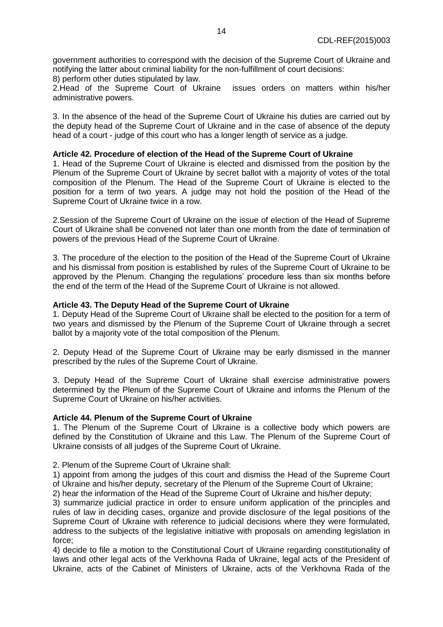government authorities to correspond with the decision of the Supreme Court of Ukraine and notifying the latter about criminal liability for the non-fulfillment of court decisions:

8) perform other duties stipulated by law.

2.Head of the Supreme Court of Ukraine issues orders on matters within his/her administrative powers.

3. In the absence of the head of the Supreme Court of Ukraine his duties are carried out by the deputy head of the Supreme Court of Ukraine and in the case of absence of the deputy head of a court - judge of this court who has a longer length of service as a judge.

### **Article 42. Procedure of election of the Head of the Supreme Court of Ukraine**

1. Head of the Supreme Court of Ukraine is elected and dismissed from the position by the Plenum of the Supreme Court of Ukraine by secret ballot with a majority of votes of the total composition of the Plenum. The Head of the Supreme Court of Ukraine is elected to the position for a term of two years. A judge may not hold the position of the Head of the Supreme Court of Ukraine twice in a row.

2.Session of the Supreme Court of Ukraine on the issue of election of the Head of Supreme Court of Ukraine shall be convened not later than one month from the date of termination of powers of the previous Head of the Supreme Court of Ukraine.

3. The procedure of the election to the position of the Head of the Supreme Court of Ukraine and his dismissal from position is established by rules of the Supreme Court of Ukraine to be approved by the Plenum. Changing the regulations' procedure less than six months before the end of the term of the Head of the Supreme Court of Ukraine is not allowed.

### **Article 43. The Deputy Head of the Supreme Court of Ukraine**

1. Deputy Head of the Supreme Court of Ukraine shall be elected to the position for a term of two years and dismissed by the Plenum of the Supreme Court of Ukraine through a secret ballot by a majority vote of the total composition of the Plenum.

2. Deputy Head of the Supreme Court of Ukraine may be early dismissed in the manner prescribed by the rules of the Supreme Court of Ukraine.

3. Deputy Head of the Supreme Court of Ukraine shall exercise administrative powers determined by the Plenum of the Supreme Court of Ukraine and informs the Plenum of the Supreme Court of Ukraine on his/her activities.

#### **Article 44. Plenum of the Supreme Court of Ukraine**

1. The Plenum of the Supreme Court of Ukraine is a collective body which powers are defined by the Constitution of Ukraine and this Law. The Plenum of the Supreme Court of Ukraine consists of all judges of the Supreme Court of Ukraine.

2. Plenum of the Supreme Court of Ukraine shall:

1) appoint from among the judges of this court and dismiss the Head of the Supreme Court of Ukraine and his/her deputy, secretary of the Plenum of the Supreme Court of Ukraine;

2) hear the information of the Head of the Supreme Court of Ukraine and his/her deputy;

3) summarize judicial practice in order to ensure uniform application of the principles and rules of law in deciding cases, organize and provide disclosure of the legal positions of the Supreme Court of Ukraine with reference to judicial decisions where they were formulated, address to the subjects of the legislative initiative with proposals on amending legislation in force;

4) decide to file a motion to the Constitutional Court of Ukraine regarding constitutionality of laws and other legal acts of the Verkhovna Rada of Ukraine, legal acts of the President of Ukraine, acts of the Cabinet of Ministers of Ukraine, acts of the Verkhovna Rada of the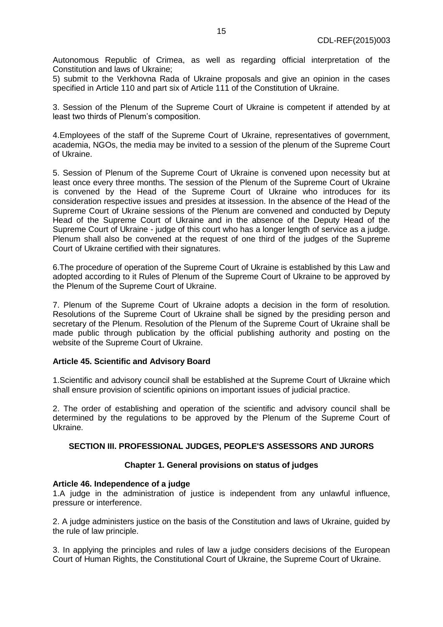Autonomous Republic of Crimea, as well as regarding official interpretation of the Constitution and laws of Ukraine;

5) submit to the Verkhovna Rada of Ukraine proposals and give an opinion in the cases specified in Article 110 and part six of Article 111 of the Constitution of Ukraine.

3. Session of the Plenum of the Supreme Court of Ukraine is competent if attended by at least two thirds of Plenum's composition.

4.Employees of the staff of the Supreme Court of Ukraine, representatives of government, academia, NGOs, the media may be invited to a session of the plenum of the Supreme Court of Ukraine.

5. Session of Plenum of the Supreme Court of Ukraine is convened upon necessity but at least once every three months. The session of the Plenum of the Supreme Court of Ukraine is convened by the Head of the Supreme Court of Ukraine who introduces for its consideration respective issues and presides at itssession. In the absence of the Head of the Supreme Court of Ukraine sessions of the Plenum are convened and conducted by Deputy Head of the Supreme Court of Ukraine and in the absence of the Deputy Head of the Supreme Court of Ukraine - judge of this court who has a longer length of service as a judge. Plenum shall also be convened at the request of one third of the judges of the Supreme Court of Ukraine certified with their signatures.

6.The procedure of operation of the Supreme Court of Ukraine is established by this Law and adopted according to it Rules of Plenum of the Supreme Court of Ukraine to be approved by the Plenum of the Supreme Court of Ukraine.

7. Plenum of the Supreme Court of Ukraine adopts a decision in the form of resolution. Resolutions of the Supreme Court of Ukraine shall be signed by the presiding person and secretary of the Plenum. Resolution of the Plenum of the Supreme Court of Ukraine shall be made public through publication by the official publishing authority and posting on the website of the Supreme Court of Ukraine.

### **Article 45. Scientific and Advisory Board**

1.Scientific and advisory council shall be established at the Supreme Court of Ukraine which shall ensure provision of scientific opinions on important issues of judicial practice.

2. The order of establishing and operation of the scientific and advisory council shall be determined by the regulations to be approved by the Plenum of the Supreme Court of Ukraine.

# **SECTION III. PROFESSIONAL JUDGES, PEOPLE'S ASSESSORS AND JURORS**

### **Chapter 1. General provisions on status of judges**

### **Article 46. Independence of a judge**

1.A judge in the administration of justice is independent from any unlawful influence, pressure or interference.

2. A judge administers justice on the basis of the Constitution and laws of Ukraine, guided by the rule of law principle.

3. In applying the principles and rules of law a judge considers decisions of the European Court of Human Rights, the Constitutional Court of Ukraine, the Supreme Court of Ukraine.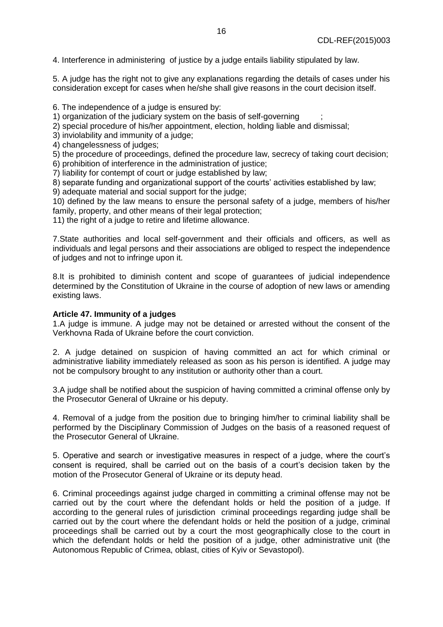4. Interference in administering of justice by a judge entails liability stipulated by law.

5. A judge has the right not to give any explanations regarding the details of cases under his consideration except for cases when he/she shall give reasons in the court decision itself.

6. The independence of a judge is ensured by:

1) organization of the judiciary system on the basis of self-governing ;

2) special procedure of his/her appointment, election, holding liable and dismissal;

3) inviolability and immunity of a judge;

4) changelessness of judges;

5) the procedure of proceedings, defined the procedure law, secrecy of taking court decision;

6) prohibition of interference in the administration of justice;

7) liability for contempt of court or judge established by law;

8) separate funding and organizational support of the courts' activities established by law;

9) adequate material and social support for the judge;

10) defined by the law means to ensure the personal safety of a judge, members of his/her family, property, and other means of their legal protection;

11) the right of a judge to retire and lifetime allowance.

7.State authorities and local self-government and their officials and officers, as well as individuals and legal persons and their associations are obliged to respect the independence of judges and not to infringe upon it.

8.It is prohibited to diminish content and scope of guarantees of judicial independence determined by the Constitution of Ukraine in the course of adoption of new laws or amending existing laws.

### **Article 47. Immunity of a judges**

1.A judge is immune. A judge may not be detained or arrested without the consent of the Verkhovna Rada of Ukraine before the court conviction.

2. A judge detained on suspicion of having committed an act for which criminal or administrative liability immediately released as soon as his person is identified. A judge may not be compulsory brought to any institution or authority other than a court.

3.A judge shall be notified about the suspicion of having committed a criminal offense only by the Prosecutor General of Ukraine or his deputy.

4. Removal of a judge from the position due to bringing him/her to criminal liability shall be performed by the Disciplinary Commission of Judges on the basis of a reasoned request of the Prosecutor General of Ukraine.

5. Operative and search or investigative measures in respect of a judge, where the court's consent is required, shall be carried out on the basis of a court's decision taken by the motion of the Prosecutor General of Ukraine or its deputy head.

6. Criminal proceedings against judge charged in committing a criminal offense may not be carried out by the court where the defendant holds or held the position of a judge. If according to the general rules of jurisdiction criminal proceedings regarding judge shall be carried out by the court where the defendant holds or held the position of a judge, criminal proceedings shall be carried out by a court the most geographically close to the court in which the defendant holds or held the position of a judge, other administrative unit (the Autonomous Republic of Crimea, oblast, cities of Kyiv or Sevastopol).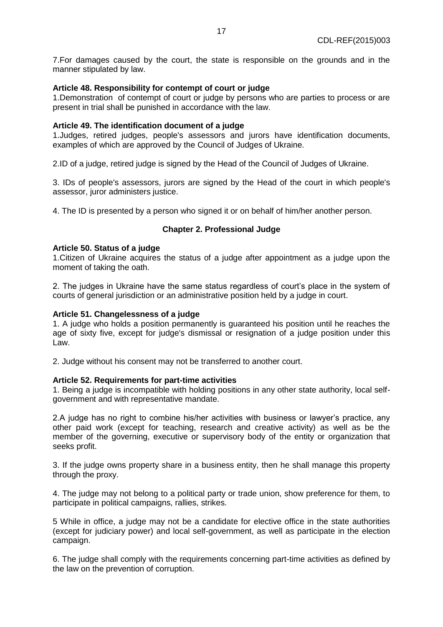7.For damages caused by the court, the state is responsible on the grounds and in the manner stipulated by law.

### **Article 48. Responsibility for contempt of court or judge**

1.Demonstration of contempt of court or judge by persons who are parties to process or are present in trial shall be punished in accordance with the law.

### **Article 49. The identification document of a judge**

1.Judges, retired judges, people's assessors and jurors have identification documents, examples of which are approved by the Council of Judges of Ukraine.

2.ID of a judge, retired judge is signed by the Head of the Council of Judges of Ukraine.

3. IDs of people's assessors, jurors are signed by the Head of the court in which people's assessor, juror administers justice.

4. The ID is presented by a person who signed it or on behalf of him/her another person.

#### **Chapter 2. Professional Judge**

#### **Article 50. Status of a judge**

1.Citizen of Ukraine acquires the status of a judge after appointment as a judge upon the moment of taking the oath.

2. The judges in Ukraine have the same status regardless of court's place in the system of courts of general jurisdiction or an administrative position held by a judge in court.

#### **Article 51. Changelessness of a judge**

1. A judge who holds a position permanently is guaranteed his position until he reaches the age of sixty five, except for judge's dismissal or resignation of a judge position under this Law.

2. Judge without his consent may not be transferred to another court.

#### **Article 52. Requirements for part-time activities**

1. Being a judge is incompatible with holding positions in any other state authority, local selfgovernment and with representative mandate.

2.A judge has no right to combine his/her activities with business or lawyer's practice, any other paid work (except for teaching, research and creative activity) as well as be the member of the governing, executive or supervisory body of the entity or organization that seeks profit.

3. If the judge owns property share in a business entity, then he shall manage this property through the proxy.

4. The judge may not belong to a political party or trade union, show preference for them, to participate in political campaigns, rallies, strikes.

5 While in office, a judge may not be a candidate for elective office in the state authorities (except for judiciary power) and local self-government, as well as participate in the election campaign.

6. The judge shall comply with the requirements concerning part-time activities as defined by the law on the prevention of corruption.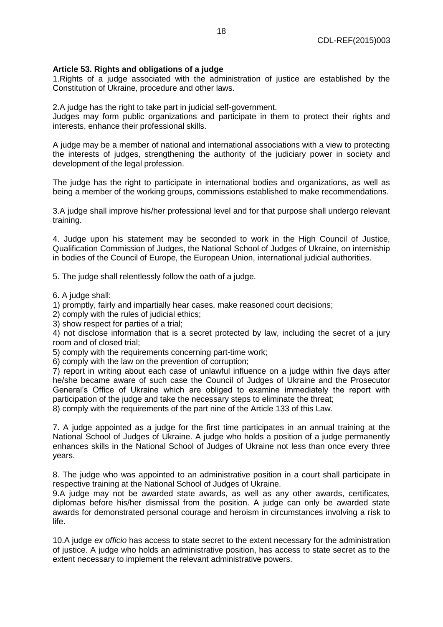# **Article 53. Rights and obligations of a judge**

1.Rights of a judge associated with the administration of justice are established by the Constitution of Ukraine, procedure and other laws.

2.A judge has the right to take part in judicial self-government.

Judges may form public organizations and participate in them to protect their rights and interests, enhance their professional skills.

A judge may be a member of national and international associations with a view to protecting the interests of judges, strengthening the authority of the judiciary power in society and development of the legal profession.

The judge has the right to participate in international bodies and organizations, as well as being a member of the working groups, commissions established to make recommendations.

3.A judge shall improve his/her professional level and for that purpose shall undergo relevant training.

4. Judge upon his statement may be seconded to work in the High Council of Justice, Qualification Commission of Judges, the National School of Judges of Ukraine, on interniship in bodies of the Council of Europe, the European Union, international judicial authorities.

5. The judge shall relentlessly follow the oath of a judge.

6. A judge shall:

1) promptly, fairly and impartially hear cases, make reasoned court decisions;

2) comply with the rules of judicial ethics;

3) show respect for parties of a trial;

4) not disclose information that is a secret protected by law, including the secret of a jury room and of closed trial;

5) comply with the requirements concerning part-time work;

6) comply with the law on the prevention of corruption;

7) report in writing about each case of unlawful influence on a judge within five days after he/she became aware of such case the Council of Judges of Ukraine and the Prosecutor General's Office of Ukraine which are obliged to examine immediately the report with participation of the judge and take the necessary steps to eliminate the threat;

8) comply with the requirements of the part nine of the Article 133 of this Law.

7. A judge appointed as a judge for the first time participates in an annual training at the National School of Judges of Ukraine. A judge who holds a position of a judge permanently enhances skills in the National School of Judges of Ukraine not less than once every three years.

8. The judge who was appointed to an administrative position in a court shall participate in respective training at the National School of Judges of Ukraine.

9.A judge may not be awarded state awards, as well as any other awards, certificates, diplomas before his/her dismissal from the position. A judge can only be awarded state awards for demonstrated personal courage and heroism in circumstances involving a risk to life.

10.A judge *ex officio* has access to state secret to the extent necessary for the administration of justice. A judge who holds an administrative position, has access to state secret as to the extent necessary to implement the relevant administrative powers.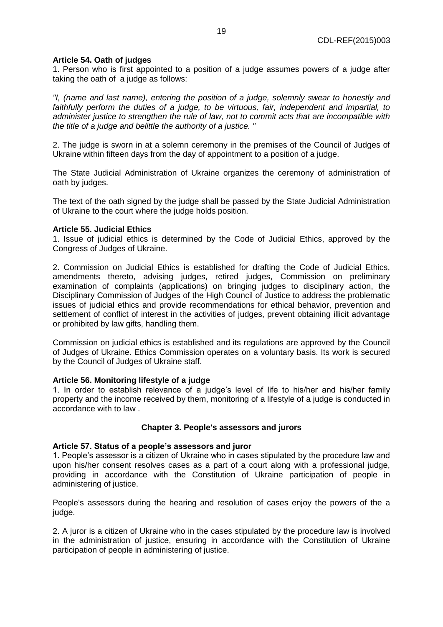# **Article 54. Oath of judges**

1. Person who is first appointed to a position of a judge assumes powers of a judge after taking the oath of a judge as follows:

*"I, (name and last name), entering the position of a judge, solemnly swear to honestly and faithfully perform the duties of a judge, to be virtuous, fair, independent and impartial, to administer justice to strengthen the rule of law, not to commit acts that are incompatible with the title of a judge and belittle the authority of a justice. "*

2. The judge is sworn in at a solemn ceremony in the premises of the Council of Judges of Ukraine within fifteen days from the day of appointment to a position of a judge.

The State Judicial Administration of Ukraine organizes the ceremony of administration of oath by judges.

The text of the oath signed by the judge shall be passed by the State Judicial Administration of Ukraine to the court where the judge holds position.

### **Article 55. Judicial Ethics**

1. Issue of judicial ethics is determined by the Code of Judicial Ethics, approved by the Congress of Judges of Ukraine.

2. Commission on Judicial Ethics is established for drafting the Code of Judicial Ethics, amendments thereto, advising judges, retired judges, Commission on preliminary examination of complaints (applications) on bringing judges to disciplinary action, the Disciplinary Commission of Judges of the High Council of Justice to address the problematic issues of judicial ethics and provide recommendations for ethical behavior, prevention and settlement of conflict of interest in the activities of judges, prevent obtaining illicit advantage or prohibited by law gifts, handling them.

Commission on judicial ethics is established and its regulations are approved by the Council of Judges of Ukraine. Ethics Commission operates on a voluntary basis. Its work is secured by the Council of Judges of Ukraine staff.

### **Article 56. Monitoring lifestyle of a judge**

1. In order to establish relevance of a judge's level of life to his/her and his/her family property and the income received by them, monitoring of a lifestyle of a judge is conducted in accordance with to law .

### **Chapter 3. People's assessors and jurors**

### **Article 57. Status of a people's assessors and juror**

1. People's assessor is a citizen of Ukraine who in cases stipulated by the procedure law and upon his/her consent resolves cases as a part of a court along with a professional judge, providing in accordance with the Constitution of Ukraine participation of people in administering of justice.

People's assessors during the hearing and resolution of cases enjoy the powers of the a judge.

2. A juror is a citizen of Ukraine who in the cases stipulated by the procedure law is involved in the administration of justice, ensuring in accordance with the Constitution of Ukraine participation of people in administering of justice.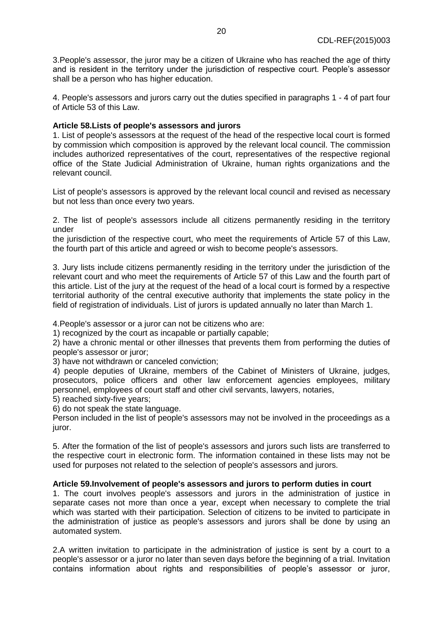3.People's assessor, the juror may be a citizen of Ukraine who has reached the age of thirty and is resident in the territory under the jurisdiction of respective court. People's assessor shall be a person who has higher education.

4. People's assessors and jurors carry out the duties specified in paragraphs 1 - 4 of part four of Article 53 of this Law.

# **Article 58.Lists of people's assessors and jurors**

1. List of people's assessors at the request of the head of the respective local court is formed by commission which composition is approved by the relevant local council. The commission includes authorized representatives of the court, representatives of the respective regional office of the State Judicial Administration of Ukraine, human rights organizations and the relevant council.

List of people's assessors is approved by the relevant local council and revised as necessary but not less than once every two years.

2. The list of people's assessors include all citizens permanently residing in the territory under

the jurisdiction of the respective court, who meet the requirements of Article 57 of this Law, the fourth part of this article and agreed or wish to become people's assessors.

3. Jury lists include citizens permanently residing in the territory under the jurisdiction of the relevant court and who meet the requirements of Article 57 of this Law and the fourth part of this article. List of the jury at the request of the head of a local court is formed by a respective territorial authority of the central executive authority that implements the state policy in the field of registration of individuals. List of jurors is updated annually no later than March 1.

4.People's assessor or a juror can not be citizens who are:

1) recognized by the court as incapable or partially capable;

2) have a chronic mental or other illnesses that prevents them from performing the duties of people's assessor or juror;

3) have not withdrawn or canceled conviction;

4) people deputies of Ukraine, members of the Cabinet of Ministers of Ukraine, judges, prosecutors, police officers and other law enforcement agencies employees, military personnel, employees of court staff and other civil servants, lawyers, notaries,

5) reached sixty-five years;

6) do not speak the state language.

Person included in the list of people's assessors may not be involved in the proceedings as a juror.

5. After the formation of the list of people's assessors and jurors such lists are transferred to the respective court in electronic form. The information contained in these lists may not be used for purposes not related to the selection of people's assessors and jurors.

# **Article 59.Involvement of people's assessors and jurors to perform duties in court**

1. The court involves people's assessors and jurors in the administration of justice in separate cases not more than once a year, except when necessary to complete the trial which was started with their participation. Selection of citizens to be invited to participate in the administration of justice as people's assessors and jurors shall be done by using an automated system.

2.A written invitation to participate in the administration of justice is sent by a court to a people's assessor or a juror no later than seven days before the beginning of a trial. Invitation contains information about rights and responsibilities of people's assessor or juror,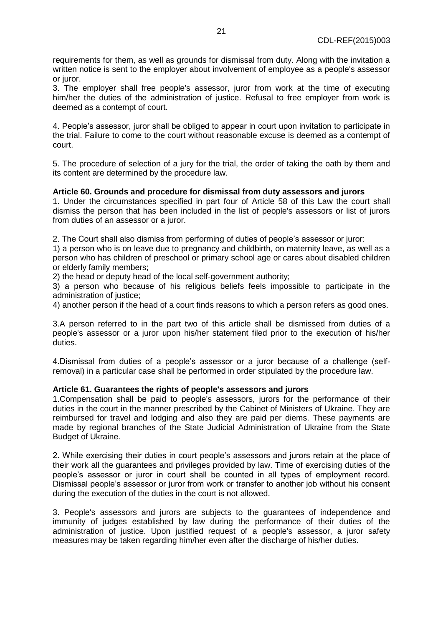requirements for them, as well as grounds for dismissal from duty. Along with the invitation a written notice is sent to the employer about involvement of employee as a people's assessor or juror.

3. The employer shall free people's assessor, juror from work at the time of executing him/her the duties of the administration of justice. Refusal to free employer from work is deemed as a contempt of court.

4. People's assessor, juror shall be obliged to appear in court upon invitation to participate in the trial. Failure to come to the court without reasonable excuse is deemed as a contempt of court.

5. The procedure of selection of a jury for the trial, the order of taking the oath by them and its content are determined by the procedure law.

# **Article 60. Grounds and procedure for dismissal from duty assessors and jurors**

1. Under the circumstances specified in part four of Article 58 of this Law the court shall dismiss the person that has been included in the list of people's assessors or list of jurors from duties of an assessor or a juror.

2. The Court shall also dismiss from performing of duties of people's assessor or juror:

1) a person who is on leave due to pregnancy and childbirth, on maternity leave, as well as a person who has children of preschool or primary school age or cares about disabled children or elderly family members;

2) the head or deputy head of the local self-government authority;

3) a person who because of his religious beliefs feels impossible to participate in the administration of justice;

4) another person if the head of a court finds reasons to which a person refers as good ones.

3.A person referred to in the part two of this article shall be dismissed from duties of a people's assessor or a juror upon his/her statement filed prior to the execution of his/her duties.

4.Dismissal from duties of a people's assessor or a juror because of a challenge (selfremoval) in a particular case shall be performed in order stipulated by the procedure law.

### **Article 61. Guarantees the rights of people's assessors and jurors**

1.Compensation shall be paid to people's assessors, jurors for the performance of their duties in the court in the manner prescribed by the Cabinet of Ministers of Ukraine. They are reimbursed for travel and lodging and also they are paid per diems. These payments are made by regional branches of the State Judicial Administration of Ukraine from the State Budget of Ukraine.

2. While exercising their duties in court people's assessors and jurors retain at the place of their work all the guarantees and privileges provided by law. Time of exercising duties of the people's assessor or juror in court shall be counted in all types of employment record. Dismissal people's assessor or juror from work or transfer to another job without his consent during the execution of the duties in the court is not allowed.

3. People's assessors and jurors are subjects to the guarantees of independence and immunity of judges established by law during the performance of their duties of the administration of justice. Upon justified request of a people's assessor, a juror safety measures may be taken regarding him/her even after the discharge of his/her duties.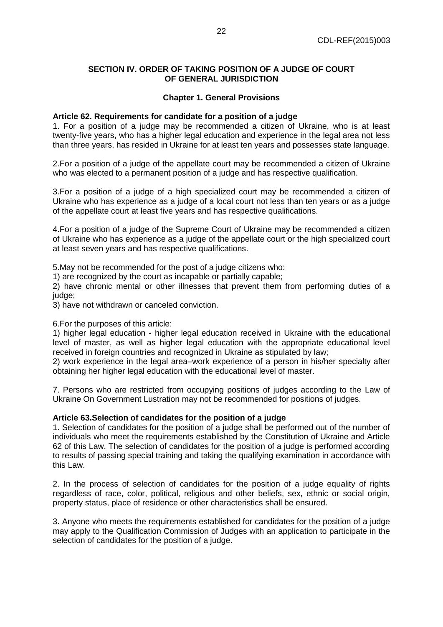# **SECTION IV. ORDER OF TAKING POSITION OF A JUDGE OF COURT OF GENERAL JURISDICTION**

# **Chapter 1. General Provisions**

### **Article 62. Requirements for candidate for a position of a judge**

1. For a position of a judge may be recommended a citizen of Ukraine, who is at least twenty-five years, who has a higher legal education and experience in the legal area not less than three years, has resided in Ukraine for at least ten years and possesses state language.

2.For a position of a judge of the appellate court may be recommended a citizen of Ukraine who was elected to a permanent position of a judge and has respective qualification.

3.For a position of a judge of a high specialized court may be recommended a citizen of Ukraine who has experience as a judge of a local court not less than ten years or as a judge of the appellate court at least five years and has respective qualifications.

4.For a position of a judge of the Supreme Court of Ukraine may be recommended a citizen of Ukraine who has experience as a judge of the appellate court or the high specialized court at least seven years and has respective qualifications.

5.May not be recommended for the post of a judge citizens who:

1) are recognized by the court as incapable or partially capable;

2) have chronic mental or other illnesses that prevent them from performing duties of a judge:

3) have not withdrawn or canceled conviction.

### 6.For the purposes of this article:

1) higher legal education - higher legal education received in Ukraine with the educational level of master, as well as higher legal education with the appropriate educational level received in foreign countries and recognized in Ukraine as stipulated by law;

2) work experience in the legal area–work experience of a person in his/her specialty after obtaining her higher legal education with the educational level of master.

7. Persons who are restricted from occupying positions of judges according to the Law of Ukraine On Government Lustration may not be recommended for positions of judges.

### **Article 63.Selection of candidates for the position of a judge**

1. Selection of candidates for the position of a judge shall be performed out of the number of individuals who meet the requirements established by the Constitution of Ukraine and Article 62 of this Law. The selection of candidates for the position of a judge is performed according to results of passing special training and taking the qualifying examination in accordance with this Law.

2. In the process of selection of candidates for the position of a judge equality of rights regardless of race, color, political, religious and other beliefs, sex, ethnic or social origin, property status, place of residence or other characteristics shall be ensured.

3. Anyone who meets the requirements established for candidates for the position of a judge may apply to the Qualification Commission of Judges with an application to participate in the selection of candidates for the position of a judge.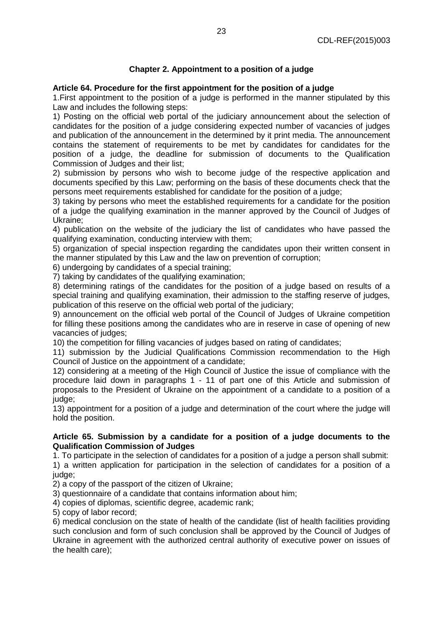# **Chapter 2. Appointment to a position of a judge**

# **Article 64. Procedure for the first appointment for the position of a judge**

1.First appointment to the position of a judge is performed in the manner stipulated by this Law and includes the following steps:

1) Posting on the official web portal of the judiciary announcement about the selection of candidates for the position of a judge considering expected number of vacancies of judges and publication of the announcement in the determined by it print media. The announcement contains the statement of requirements to be met by candidates for candidates for the position of a judge, the deadline for submission of documents to the Qualification Commission of Judges and their list;

2) submission by persons who wish to become judge of the respective application and documents specified by this Law; performing on the basis of these documents check that the persons meet requirements established for candidate for the position of a judge;

3) taking by persons who meet the established requirements for a candidate for the position of a judge the qualifying examination in the manner approved by the Council of Judges of Ukraine;

4) publication on the website of the judiciary the list of candidates who have passed the qualifying examination, conducting interview with them;

5) organization of special inspection regarding the candidates upon their written consent in the manner stipulated by this Law and the law on prevention of corruption;

6) undergoing by candidates of a special training;

7) taking by candidates of the qualifying examination;

8) determining ratings of the candidates for the position of a judge based on results of a special training and qualifying examination, their admission to the staffing reserve of judges, publication of this reserve on the official web portal of the judiciary;

9) announcement on the official web portal of the Council of Judges of Ukraine competition for filling these positions among the candidates who are in reserve in case of opening of new vacancies of judges;

10) the competition for filling vacancies of judges based on rating of candidates;

11) submission by the Judicial Qualifications Commission recommendation to the High Council of Justice on the appointment of a candidate;

12) considering at a meeting of the High Council of Justice the issue of compliance with the procedure laid down in paragraphs 1 - 11 of part one of this Article and submission of proposals to the President of Ukraine on the appointment of a candidate to a position of a judge;

13) appointment for a position of a judge and determination of the court where the judge will hold the position.

# **Article 65. Submission by a candidate for a position of a judge documents to the Qualification Commission of Judges**

1. To participate in the selection of candidates for a position of a judge a person shall submit: 1) a written application for participation in the selection of candidates for a position of a judge:

2) a copy of the passport of the citizen of Ukraine;

3) questionnaire of a candidate that contains information about him;

4) copies of diplomas, scientific degree, academic rank;

5) copy of labor record;

6) medical conclusion on the state of health of the candidate (list of health facilities providing such conclusion and form of such conclusion shall be approved by the Council of Judges of Ukraine in agreement with the authorized central authority of executive power on issues of the health care);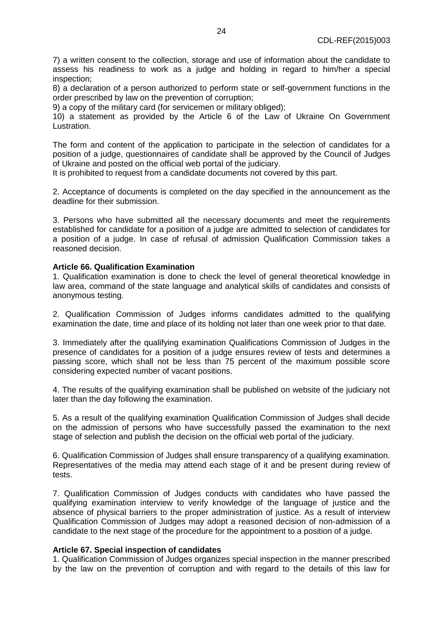7) a written consent to the collection, storage and use of information about the candidate to assess his readiness to work as a judge and holding in regard to him/her a special inspection;

8) a declaration of a person authorized to perform state or self-government functions in the order prescribed by law on the prevention of corruption;

9) a copy of the military card (for servicemen or military obliged);

10) a statement as provided by the Article 6 of the Law of Ukraine On Government Lustration.

The form and content of the application to participate in the selection of candidates for a position of a judge, questionnaires of candidate shall be approved by the Council of Judges of Ukraine and posted on the official web portal of the judiciary.

It is prohibited to request from a candidate documents not covered by this part.

2. Acceptance of documents is completed on the day specified in the announcement as the deadline for their submission.

3. Persons who have submitted all the necessary documents and meet the requirements established for candidate for a position of a judge are admitted to selection of candidates for a position of a judge. In case of refusal of admission Qualification Commission takes a reasoned decision.

#### **Article 66. Qualification Examination**

1. Qualification examination is done to check the level of general theoretical knowledge in law area, command of the state language and analytical skills of candidates and consists of anonymous testing.

2. Qualification Commission of Judges informs candidates admitted to the qualifying examination the date, time and place of its holding not later than one week prior to that date.

3. Immediately after the qualifying examination Qualifications Commission of Judges in the presence of candidates for a position of a judge ensures review of tests and determines a passing score, which shall not be less than 75 percent of the maximum possible score considering expected number of vacant positions.

4. The results of the qualifying examination shall be published on website of the judiciary not later than the day following the examination.

5. As a result of the qualifying examination Qualification Commission of Judges shall decide on the admission of persons who have successfully passed the examination to the next stage of selection and publish the decision on the official web portal of the judiciary.

6. Qualification Commission of Judges shall ensure transparency of a qualifying examination. Representatives of the media may attend each stage of it and be present during review of tests.

7. Qualification Commission of Judges conducts with candidates who have passed the qualifying examination interview to verify knowledge of the language of justice and the absence of physical barriers to the proper administration of justice. As a result of interview Qualification Commission of Judges may adopt a reasoned decision of non-admission of a candidate to the next stage of the procedure for the appointment to a position of a judge.

#### **Article 67. Special inspection of candidates**

1. Qualification Commission of Judges organizes special inspection in the manner prescribed by the law on the prevention of corruption and with regard to the details of this law for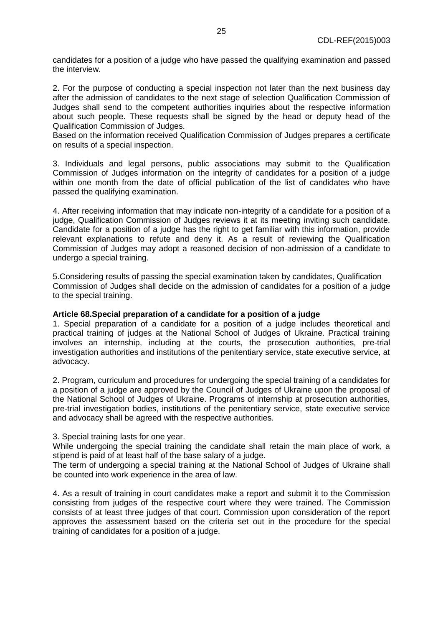candidates for a position of a judge who have passed the qualifying examination and passed the interview.

2. For the purpose of conducting a special inspection not later than the next business day after the admission of candidates to the next stage of selection Qualification Commission of Judges shall send to the competent authorities inquiries about the respective information about such people. These requests shall be signed by the head or deputy head of the Qualification Commission of Judges.

Based on the information received Qualification Commission of Judges prepares a certificate on results of a special inspection.

3. Individuals and legal persons, public associations may submit to the Qualification Commission of Judges information on the integrity of candidates for a position of a judge within one month from the date of official publication of the list of candidates who have passed the qualifying examination.

4. After receiving information that may indicate non-integrity of a candidate for a position of a judge, Qualification Commission of Judges reviews it at its meeting inviting such candidate. Candidate for a position of a judge has the right to get familiar with this information, provide relevant explanations to refute and deny it. As a result of reviewing the Qualification Commission of Judges may adopt a reasoned decision of non-admission of a candidate to undergo a special training.

5.Considering results of passing the special examination taken by candidates, Qualification Commission of Judges shall decide on the admission of candidates for a position of a judge to the special training.

# **Article 68.Special preparation of a candidate for a position of a judge**

1. Special preparation of a candidate for a position of a judge includes theoretical and practical training of judges at the National School of Judges of Ukraine. Practical training involves an internship, including at the courts, the prosecution authorities, pre-trial investigation authorities and institutions of the penitentiary service, state executive service, at advocacy.

2. Program, curriculum and procedures for undergoing the special training of a candidates for a position of a judge are approved by the Council of Judges of Ukraine upon the proposal of the National School of Judges of Ukraine. Programs of internship at prosecution authorities, pre-trial investigation bodies, institutions of the penitentiary service, state executive service and advocacy shall be agreed with the respective authorities.

3. Special training lasts for one year.

While undergoing the special training the candidate shall retain the main place of work, a stipend is paid of at least half of the base salary of a judge.

The term of undergoing a special training at the National School of Judges of Ukraine shall be counted into work experience in the area of law.

4. As a result of training in court candidates make a report and submit it to the Commission consisting from judges of the respective court where they were trained. The Commission consists of at least three judges of that court. Commission upon consideration of the report approves the assessment based on the criteria set out in the procedure for the special training of candidates for a position of a judge.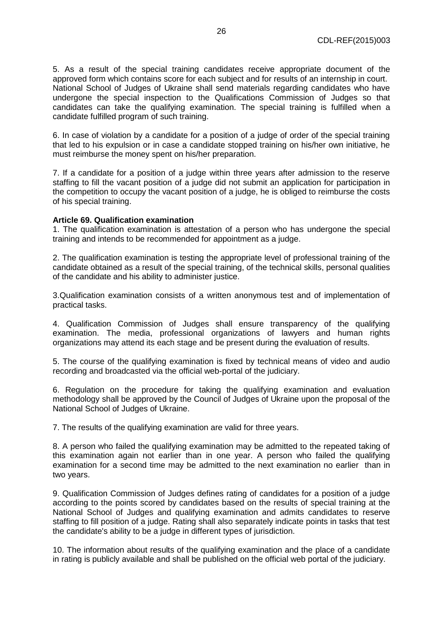5. As a result of the special training candidates receive appropriate document of the approved form which contains score for each subject and for results of an internship in court. National School of Judges of Ukraine shall send materials regarding candidates who have undergone the special inspection to the Qualifications Commission of Judges so that candidates can take the qualifying examination. The special training is fulfilled when a candidate fulfilled program of such training.

6. In case of violation by a candidate for a position of a judge of order of the special training that led to his expulsion or in case a candidate stopped training on his/her own initiative, he must reimburse the money spent on his/her preparation.

7. If a candidate for a position of a judge within three years after admission to the reserve staffing to fill the vacant position of a judge did not submit an application for participation in the competition to occupy the vacant position of a judge, he is obliged to reimburse the costs of his special training.

# **Article 69. Qualification examination**

1. The qualification examination is attestation of a person who has undergone the special training and intends to be recommended for appointment as a judge.

2. The qualification examination is testing the appropriate level of professional training of the candidate obtained as a result of the special training, of the technical skills, personal qualities of the candidate and his ability to administer justice.

3.Qualification examination consists of a written anonymous test and of implementation of practical tasks.

4. Qualification Commission of Judges shall ensure transparency of the qualifying examination. The media, professional organizations of lawyers and human rights organizations may attend its each stage and be present during the evaluation of results.

5. The course of the qualifying examination is fixed by technical means of video and audio recording and broadcasted via the official web-portal of the judiciary.

6. Regulation on the procedure for taking the qualifying examination and evaluation methodology shall be approved by the Council of Judges of Ukraine upon the proposal of the National School of Judges of Ukraine.

7. The results of the qualifying examination are valid for three years.

8. A person who failed the qualifying examination may be admitted to the repeated taking of this examination again not earlier than in one year. A person who failed the qualifying examination for a second time may be admitted to the next examination no earlier than in two years.

9. Qualification Commission of Judges defines rating of candidates for a position of a judge according to the points scored by candidates based on the results of special training at the National School of Judges and qualifying examination and admits candidates to reserve staffing to fill position of a judge. Rating shall also separately indicate points in tasks that test the candidate's ability to be a judge in different types of jurisdiction.

10. The information about results of the qualifying examination and the place of a candidate in rating is publicly available and shall be published on the official web portal of the judiciary.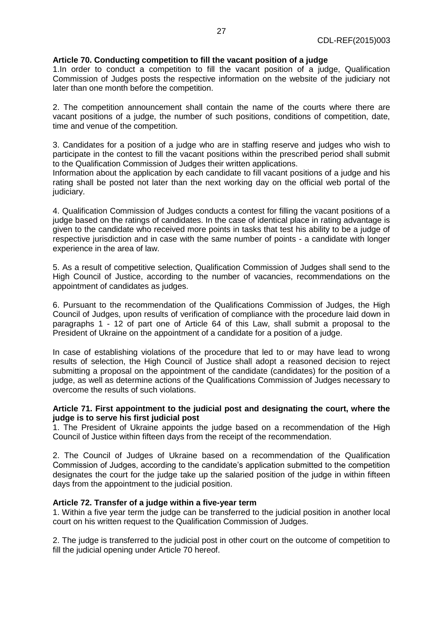# **Article 70. Conducting competition to fill the vacant position of a judge**

1.In order to conduct a competition to fill the vacant position of a judge, Qualification Commission of Judges posts the respective information on the website of the judiciary not later than one month before the competition.

2. The competition announcement shall contain the name of the courts where there are vacant positions of a judge, the number of such positions, conditions of competition, date, time and venue of the competition.

3. Candidates for a position of a judge who are in staffing reserve and judges who wish to participate in the contest to fill the vacant positions within the prescribed period shall submit to the Qualification Commission of Judges their written applications.

Information about the application by each candidate to fill vacant positions of a judge and his rating shall be posted not later than the next working day on the official web portal of the judiciary.

4. Qualification Commission of Judges conducts a contest for filling the vacant positions of a judge based on the ratings of candidates. In the case of identical place in rating advantage is given to the candidate who received more points in tasks that test his ability to be a judge of respective jurisdiction and in case with the same number of points - a candidate with longer experience in the area of law.

5. As a result of competitive selection, Qualification Commission of Judges shall send to the High Council of Justice, according to the number of vacancies, recommendations on the appointment of candidates as judges.

6. Pursuant to the recommendation of the Qualifications Commission of Judges, the High Council of Judges, upon results of verification of compliance with the procedure laid down in paragraphs 1 - 12 of part one of Article 64 of this Law, shall submit a proposal to the President of Ukraine on the appointment of a candidate for a position of a judge.

In case of establishing violations of the procedure that led to or may have lead to wrong results of selection, the High Council of Justice shall adopt a reasoned decision to reject submitting a proposal on the appointment of the candidate (candidates) for the position of a judge, as well as determine actions of the Qualifications Commission of Judges necessary to overcome the results of such violations.

# **Article 71. First appointment to the judicial post and designating the court, where the judge is to serve his first judicial post**

1. The President of Ukraine appoints the judge based on a recommendation of the High Council of Justice within fifteen days from the receipt of the recommendation.

2. The Council of Judges of Ukraine based on a recommendation of the Qualification Commission of Judges, according to the candidate's application submitted to the competition designates the court for the judge take up the salaried position of the judge in within fifteen days from the appointment to the judicial position.

### **Article 72. Transfer of a judge within a five-year term**

1. Within a five year term the judge can be transferred to the judicial position in another local court on his written request to the Qualification Commission of Judges.

2. The judge is transferred to the judicial post in other court on the outcome of competition to fill the judicial opening under Article 70 hereof.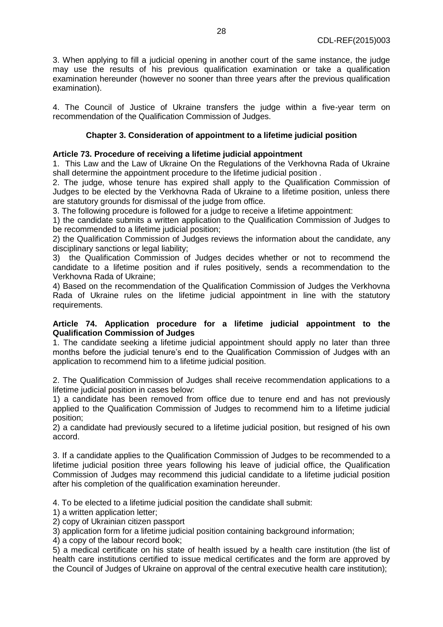3. When applying to fill a judicial opening in another court of the same instance, the judge may use the results of his previous qualification examination or take a qualification examination hereunder (however no sooner than three years after the previous qualification examination).

4. The Council of Justice of Ukraine transfers the judge within a five-year term on recommendation of the Qualification Commission of Judges.

# **Chapter 3. Consideration of appointment to a lifetime judicial position**

### **Article 73. Procedure of receiving a lifetime judicial appointment**

1. This Law and the Law of Ukraine On the Regulations of the Verkhovna Rada of Ukraine shall determine the appointment procedure to the lifetime judicial position .

2. The judge, whose tenure has expired shall apply to the Qualification Commission of Judges to be elected by the Verkhovna Rada of Ukraine to a lifetime position, unless there are statutory grounds for dismissal of the judge from office.

3. The following procedure is followed for a judge to receive a lifetime appointment:

1) the candidate submits a written application to the Qualification Commission of Judges to be recommended to a lifetime judicial position;

2) the Qualification Commission of Judges reviews the information about the candidate, any disciplinary sanctions or legal liability;

3) the Qualification Commission of Judges decides whether or not to recommend the candidate to a lifetime position and if rules positively, sends a recommendation to the Verkhovna Rada of Ukraine;

4) Based on the recommendation of the Qualification Commission of Judges the Verkhovna Rada of Ukraine rules on the lifetime judicial appointment in line with the statutory requirements.

# **Article 74. Application procedure for a lifetime judicial appointment to the Qualification Commission of Judges**

1. The candidate seeking a lifetime judicial appointment should apply no later than three months before the judicial tenure's end to the Qualification Commission of Judges with an application to recommend him to a lifetime judicial position.

2. The Qualification Commission of Judges shall receive recommendation applications to a lifetime judicial position in cases below:

1) a candidate has been removed from office due to tenure end and has not previously applied to the Qualification Commission of Judges to recommend him to a lifetime judicial position;

2) a candidate had previously secured to a lifetime judicial position, but resigned of his own accord.

3. If a candidate applies to the Qualification Commission of Judges to be recommended to a lifetime judicial position three years following his leave of judicial office, the Qualification Commission of Judges may recommend this judicial candidate to a lifetime judicial position after his completion of the qualification examination hereunder.

4. To be elected to a lifetime judicial position the candidate shall submit:

1) a written application letter;

2) copy of Ukrainian citizen passport

3) application form for a lifetime judicial position containing background information;

4) a copy of the labour record book;

5) a medical certificate on his state of health issued by a health care institution (the list of health care institutions certified to issue medical certificates and the form are approved by the Council of Judges of Ukraine on approval of the central executive health care institution);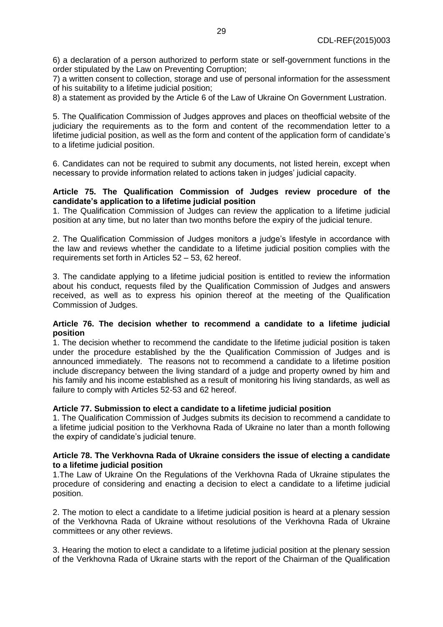6) a declaration of a person authorized to perform state or self-government functions in the order stipulated by the Law on Preventing Corruption;

7) a written consent to collection, storage and use of personal information for the assessment of his suitability to a lifetime judicial position;

8) a statement as provided by the Article 6 of the Law of Ukraine On Government Lustration.

5. The Qualification Commission of Judges approves and places on theofficial website of the judiciary the requirements as to the form and content of the recommendation letter to a lifetime judicial position, as well as the form and content of the application form of candidate's to a lifetime judicial position.

6. Candidates can not be required to submit any documents, not listed herein, except when necessary to provide information related to actions taken in judges' judicial capacity.

### **Article 75. The Qualification Commission of Judges review procedure of the candidate's application to a lifetime judicial position**

1. The Qualification Commission of Judges can review the application to a lifetime judicial position at any time, but no later than two months before the expiry of the judicial tenure.

2. The Qualification Commission of Judges monitors a judge's lifestyle in accordance with the law and reviews whether the candidate to a lifetime judicial position complies with the requirements set forth in Articles 52 – 53, 62 hereof.

3. The candidate applying to a lifetime judicial position is entitled to review the information about his conduct, requests filed by the Qualification Commission of Judges and answers received, as well as to express his opinion thereof at the meeting of the Qualification Commission of Judges.

### **Article 76. The decision whether to recommend a candidate to a lifetime judicial position**

1. The decision whether to recommend the candidate to the lifetime judicial position is taken under the procedure established by the the Qualification Commission of Judges and is announced immediately. The reasons not to recommend a candidate to a lifetime position include discrepancy between the living standard of a judge and property owned by him and his family and his income established as a result of monitoring his living standards, as well as failure to comply with Articles 52-53 and 62 hereof.

### **Article 77. Submission to elect a candidate to a lifetime judicial position**

1. The Qualification Commission of Judges submits its decision to recommend a candidate to a lifetime judicial position to the Verkhovna Rada of Ukraine no later than a month following the expiry of candidate's judicial tenure.

### **Article 78. The Verkhovna Rada of Ukraine considers the issue of electing a candidate to a lifetime judicial position**

1.The Law of Ukraine On the Regulations of the Verkhovna Rada of Ukraine stipulates the procedure of considering and enacting a decision to elect a candidate to a lifetime judicial position.

2. The motion to elect a candidate to a lifetime judicial position is heard at a plenary session of the Verkhovna Rada of Ukraine without resolutions of the Verkhovna Rada of Ukraine committees or any other reviews.

3. Hearing the motion to elect a candidate to a lifetime judicial position at the plenary session of the Verkhovna Rada of Ukraine starts with the report of the Chairman of the Qualification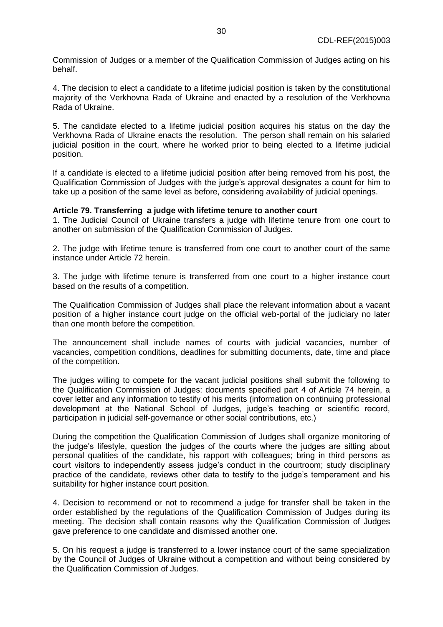Commission of Judges or a member of the Qualification Commission of Judges acting on his behalf.

4. The decision to elect a candidate to a lifetime judicial position is taken by the constitutional majority of the Verkhovna Rada of Ukraine and enacted by a resolution of the Verkhovna Rada of Ukraine.

5. The candidate elected to a lifetime judicial position acquires his status on the day the Verkhovna Rada of Ukraine enacts the resolution. The person shall remain on his salaried judicial position in the court, where he worked prior to being elected to a lifetime judicial position.

If a candidate is elected to a lifetime judicial position after being removed from his post, the Qualification Commission of Judges with the judge's approval designates a count for him to take up a position of the same level as before, considering availability of judicial openings.

#### **Article 79. Transferring a judge with lifetime tenure to another court**

1. The Judicial Council of Ukraine transfers a judge with lifetime tenure from one court to another on submission of the Qualification Commission of Judges.

2. The judge with lifetime tenure is transferred from one court to another court of the same instance under Article 72 herein.

3. The judge with lifetime tenure is transferred from one court to a higher instance court based on the results of a competition.

The Qualification Commission of Judges shall place the relevant information about a vacant position of a higher instance court judge on the official web-portal of the judiciary no later than one month before the competition.

The announcement shall include names of courts with judicial vacancies, number of vacancies, competition conditions, deadlines for submitting documents, date, time and place of the competition.

The judges willing to compete for the vacant judicial positions shall submit the following to the Qualification Commission of Judges: documents specified part 4 of Article 74 herein, a cover letter and any information to testify of his merits (information on continuing professional development at the National School of Judges, judge's teaching or scientific record, participation in judicial self-governance or other social contributions, etc.)

During the competition the Qualification Commission of Judges shall organize monitoring of the judge's lifestyle, question the judges of the courts where the judges are sitting about personal qualities of the candidate, his rapport with colleagues; bring in third persons as court visitors to independently assess judge's conduct in the courtroom; study disciplinary practice of the candidate, reviews other data to testify to the judge's temperament and his suitability for higher instance court position.

4. Decision to recommend or not to recommend a judge for transfer shall be taken in the order established by the regulations of the Qualification Commission of Judges during its meeting. The decision shall contain reasons why the Qualification Commission of Judges gave preference to one candidate and dismissed another one.

5. On his request a judge is transferred to a lower instance court of the same specialization by the Council of Judges of Ukraine without a competition and without being considered by the Qualification Commission of Judges.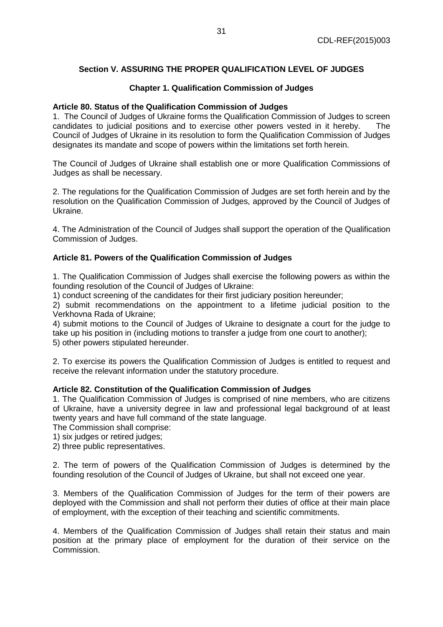# **Section V. ASSURING THE PROPER QUALIFICATION LEVEL OF JUDGES**

# **Chapter 1. Qualification Commission of Judges**

### **Article 80. Status of the Qualification Commission of Judges**

1. The Council of Judges of Ukraine forms the Qualification Commission of Judges to screen candidates to judicial positions and to exercise other powers vested in it hereby. The Council of Judges of Ukraine in its resolution to form the Qualification Commission of Judges designates its mandate and scope of powers within the limitations set forth herein.

The Council of Judges of Ukraine shall establish one or more Qualification Commissions of Judges as shall be necessary.

2. The regulations for the Qualification Commission of Judges are set forth herein and by the resolution on the Qualification Commission of Judges, approved by the Council of Judges of Ukraine.

4. The Administration of the Council of Judges shall support the operation of the Qualification Commission of Judges.

# **Article 81. Powers of the Qualification Commission of Judges**

1. The Qualification Commission of Judges shall exercise the following powers as within the founding resolution of the Council of Judges of Ukraine:

1) conduct screening of the candidates for their first judiciary position hereunder;

2) submit recommendations on the appointment to a lifetime judicial position to the Verkhovna Rada of Ukraine;

4) submit motions to the Council of Judges of Ukraine to designate a court for the judge to take up his position in (including motions to transfer a judge from one court to another); 5) other powers stipulated hereunder.

2. To exercise its powers the Qualification Commission of Judges is entitled to request and receive the relevant information under the statutory procedure.

### **Article 82. Constitution of the Qualification Commission of Judges**

1. The Qualification Commission of Judges is comprised of nine members, who are citizens of Ukraine, have a university degree in law and professional legal background of at least twenty years and have full command of the state language.

The Commission shall comprise:

1) six judges or retired judges;

2) three public representatives.

2. The term of powers of the Qualification Commission of Judges is determined by the founding resolution of the Council of Judges of Ukraine, but shall not exceed one year.

3. Members of the Qualification Commission of Judges for the term of their powers are deployed with the Commission and shall not perform their duties of office at their main place of employment, with the exception of their teaching and scientific commitments.

4. Members of the Qualification Commission of Judges shall retain their status and main position at the primary place of employment for the duration of their service on the Commission.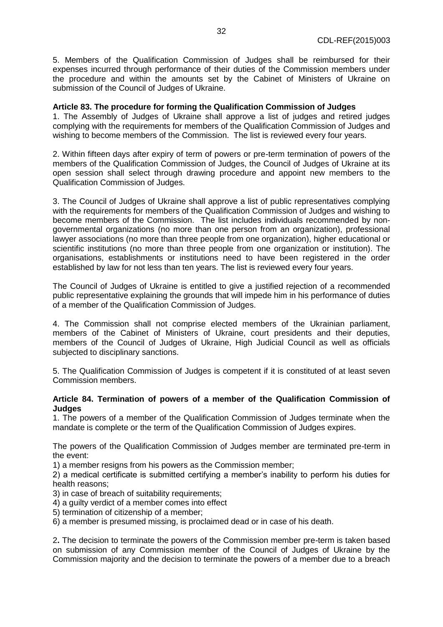5. Members of the Qualification Commission of Judges shall be reimbursed for their expenses incurred through performance of their duties of the Commission members under the procedure and within the amounts set by the Cabinet of Ministers of Ukraine on submission of the Council of Judges of Ukraine.

# **Article 83. The procedure for forming the Qualification Commission of Judges**

1. The Assembly of Judges of Ukraine shall approve a list of judges and retired judges complying with the requirements for members of the Qualification Commission of Judges and wishing to become members of the Commission. The list is reviewed every four years.

2. Within fifteen days after expiry of term of powers or pre-term termination of powers of the members of the Qualification Commission of Judges, the Council of Judges of Ukraine at its open session shall select through drawing procedure and appoint new members to the Qualification Commission of Judges.

3. The Council of Judges of Ukraine shall approve a list of public representatives complying with the requirements for members of the Qualification Commission of Judges and wishing to become members of the Commission. The list includes individuals recommended by nongovernmental organizations (no more than one person from an organization), professional lawyer associations (no more than three people from one organization), higher educational or scientific institutions (no more than three people from one organization or institution). The organisations, establishments or institutions need to have been registered in the order established by law for not less than ten years. The list is reviewed every four years.

The Council of Judges of Ukraine is entitled to give a justified rejection of a recommended public representative explaining the grounds that will impede him in his performance of duties of a member of the Qualification Commission of Judges.

4. The Commission shall not comprise elected members of the Ukrainian parliament, members of the Cabinet of Ministers of Ukraine, court presidents and their deputies, members of the Council of Judges of Ukraine, High Judicial Council as well as officials subjected to disciplinary sanctions.

5. The Qualification Commission of Judges is competent if it is constituted of at least seven Commission members.

# **Article 84. Termination of powers of a member of the Qualification Commission of Judges**

1. The powers of a member of the Qualification Commission of Judges terminate when the mandate is complete or the term of the Qualification Commission of Judges expires.

The powers of the Qualification Commission of Judges member are terminated pre-term in the event:

1) a member resigns from his powers as the Commission member;

2) a medical certificate is submitted certifying a member's inability to perform his duties for health reasons;

3) in case of breach of suitability requirements;

4) a guilty verdict of a member comes into effect

5) termination of citizenship of a member;

6) a member is presumed missing, is proclaimed dead or in case of his death.

2**.** The decision to terminate the powers of the Commission member pre-term is taken based on submission of any Commission member of the Council of Judges of Ukraine by the Commission majority and the decision to terminate the powers of a member due to a breach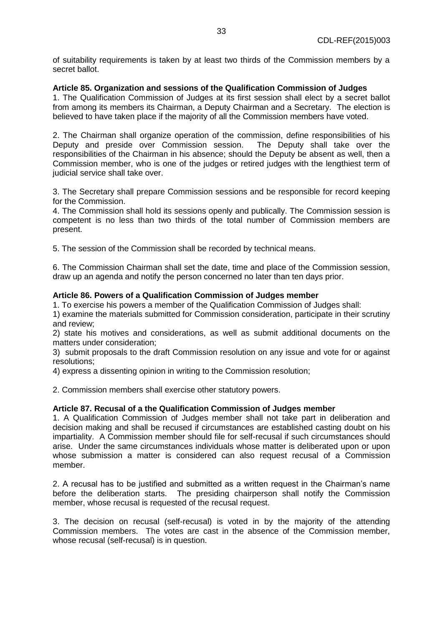of suitability requirements is taken by at least two thirds of the Commission members by a secret ballot.

### **Article 85. Organization and sessions of the Qualification Commission of Judges**

1. The Qualification Commission of Judges at its first session shall elect by a secret ballot from among its members its Chairman, a Deputy Chairman and a Secretary. The election is believed to have taken place if the majority of all the Commission members have voted.

2. The Chairman shall organize operation of the commission, define responsibilities of his Deputy and preside over Commission session. The Deputy shall take over the responsibilities of the Chairman in his absence; should the Deputy be absent as well, then a Commission member, who is one of the judges or retired judges with the lengthiest term of judicial service shall take over.

3. The Secretary shall prepare Commission sessions and be responsible for record keeping for the Commission.

4. The Commission shall hold its sessions openly and publically. The Commission session is competent is no less than two thirds of the total number of Commission members are present.

5. The session of the Commission shall be recorded by technical means.

6. The Commission Chairman shall set the date, time and place of the Commission session, draw up an agenda and notify the person concerned no later than ten days prior.

### **Article 86. Powers of a Qualification Commission of Judges member**

1. To exercise his powers a member of the Qualification Commission of Judges shall:

1) examine the materials submitted for Commission consideration, participate in their scrutiny and review;

2) state his motives and considerations, as well as submit additional documents on the matters under consideration;

3) submit proposals to the draft Commission resolution on any issue and vote for or against resolutions;

4) express a dissenting opinion in writing to the Commission resolution;

2. Commission members shall exercise other statutory powers.

### **Article 87. Recusal of a the Qualification Commission of Judges member**

1. A Qualification Commission of Judges member shall not take part in deliberation and decision making and shall be recused if circumstances are established casting doubt on his impartiality. A Commission member should file for self-recusal if such circumstances should arise. Under the same circumstances individuals whose matter is deliberated upon or upon whose submission a matter is considered can also request recusal of a Commission member.

2. A recusal has to be justified and submitted as a written request in the Chairman's name before the deliberation starts. The presiding chairperson shall notify the Commission member, whose recusal is requested of the recusal request.

3. The decision on recusal (self-recusal) is voted in by the majority of the attending Commission members. The votes are cast in the absence of the Commission member, whose recusal (self-recusal) is in question.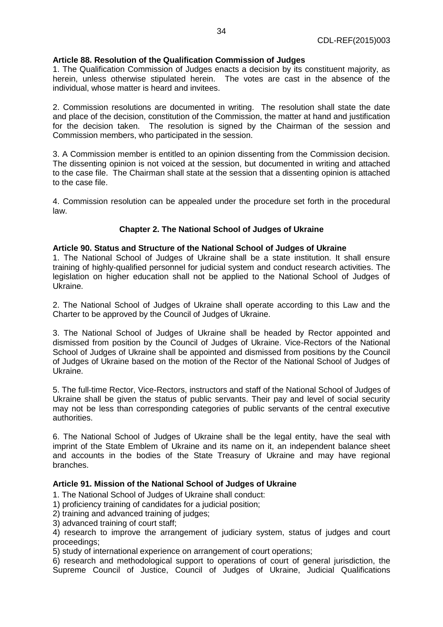# **Article 88. Resolution of the Qualification Commission of Judges**

1. The Qualification Commission of Judges enacts a decision by its constituent majority, as herein, unless otherwise stipulated herein. The votes are cast in the absence of the individual, whose matter is heard and invitees.

2. Commission resolutions are documented in writing. The resolution shall state the date and place of the decision, constitution of the Commission, the matter at hand and justification for the decision taken. The resolution is signed by the Chairman of the session and Commission members, who participated in the session.

3. A Commission member is entitled to an opinion dissenting from the Commission decision. The dissenting opinion is not voiced at the session, but documented in writing and attached to the case file. The Chairman shall state at the session that a dissenting opinion is attached to the case file.

4. Commission resolution can be appealed under the procedure set forth in the procedural law.

# **Chapter 2. The National School of Judges of Ukraine**

# **Article 90. Status and Structure of the National School of Judges of Ukraine**

1. The National School of Judges of Ukraine shall be a state institution. It shall ensure training of highly-qualified personnel for judicial system and conduct research activities. The legislation on higher education shall not be applied to the National School of Judges of Ukraine.

2. The National School of Judges of Ukraine shall operate according to this Law and the Charter to be approved by the Council of Judges of Ukraine.

3. The National School of Judges of Ukraine shall be headed by Rector appointed and dismissed from position by the Council of Judges of Ukraine. Vice-Rectors of the National School of Judges of Ukraine shall be appointed and dismissed from positions by the Council of Judges of Ukraine based on the motion of the Rector of the National School of Judges of Ukraine.

5. The full-time Rector, Vice-Rectors, instructors and staff of the National School of Judges of Ukraine shall be given the status of public servants. Their pay and level of social security may not be less than corresponding categories of public servants of the central executive authorities.

6. The National School of Judges of Ukraine shall be the legal entity, have the seal with imprint of the State Emblem of Ukraine and its name on it, an independent balance sheet and accounts in the bodies of the State Treasury of Ukraine and may have regional branches.

# **Article 91. Mission of the National School of Judges of Ukraine**

1. The National School of Judges of Ukraine shall conduct:

1) proficiency training of candidates for a judicial position;

2) training and advanced training of judges;

3) advanced training of court staff;

4) research to improve the arrangement of judiciary system, status of judges and court proceedings;

5) study of international experience on arrangement of court operations;

6) research and methodological support to operations of court of general jurisdiction, the Supreme Council of Justice, Council of Judges of Ukraine, Judicial Qualifications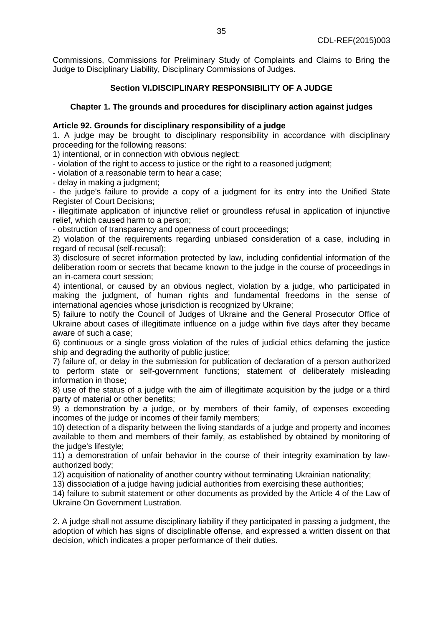Commissions, Commissions for Preliminary Study of Complaints and Claims to Bring the Judge to Disciplinary Liability, Disciplinary Commissions of Judges.

# **Section VI.DISCIPLINARY RESPONSIBILITY OF A JUDGE**

# **Chapter 1. The grounds and procedures for disciplinary action against judges**

### **Article 92. Grounds for disciplinary responsibility of a judge**

1. A judge may be brought to disciplinary responsibility in accordance with disciplinary proceeding for the following reasons:

1) intentional, or in connection with obvious neglect:

- violation of the right to access to justice or the right to a reasoned judgment;

- violation of a reasonable term to hear a case;

- delay in making a judgment;

- the judge's failure to provide a copy of a judgment for its entry into the Unified State Register of Court Decisions;

- illegitimate application of injunctive relief or groundless refusal in application of injunctive relief, which caused harm to a person;

- obstruction of transparency and openness of court proceedings;

2) violation of the requirements regarding unbiased consideration of a case, including in regard of recusal (self-recusal);

3) disclosure of secret information protected by law, including confidential information of the deliberation room or secrets that became known to the judge in the course of proceedings in an in-camera court session;

4) intentional, or caused by an obvious neglect, violation by a judge, who participated in making the judgment, of human rights and fundamental freedoms in the sense of international agencies whose jurisdiction is recognized by Ukraine;

5) failure to notify the Council of Judges of Ukraine and the General Prosecutor Office of Ukraine about cases of illegitimate influence on a judge within five days after they became aware of such a case;

6) continuous or a single gross violation of the rules of judicial ethics defaming the justice ship and degrading the authority of public justice;

7) failure of, or delay in the submission for publication of declaration of a person authorized to perform state or self-government functions; statement of deliberately misleading information in those;

8) use of the status of a judge with the aim of illegitimate acquisition by the judge or a third party of material or other benefits;

9) a demonstration by a judge, or by members of their family, of expenses exceeding incomes of the judge or incomes of their family members;

10) detection of a disparity between the living standards of a judge and property and incomes available to them and members of their family, as established by obtained by monitoring of the judge's lifestyle;

11) a demonstration of unfair behavior in the course of their integrity examination by lawauthorized body;

12) acquisition of nationality of another country without terminating Ukrainian nationality;

13) dissociation of a judge having judicial authorities from exercising these authorities;

14) failure to submit statement or other documents as provided by the Article 4 of the Law of Ukraine On Government Lustration.

2. A judge shall not assume disciplinary liability if they participated in passing a judgment, the adoption of which has signs of disciplinable offense, and expressed a written dissent on that decision, which indicates a proper performance of their duties.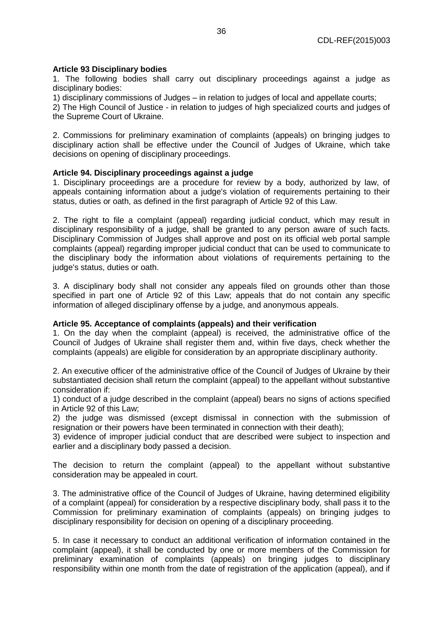# **Article 93 Disciplinary bodies**

1. The following bodies shall carry out disciplinary proceedings against a judge as disciplinary bodies:

1) disciplinary commissions of Judges – in relation to judges of local and appellate courts;

2) The High Council of Justice - in relation to judges of high specialized courts and judges of the Supreme Court of Ukraine.

2. Commissions for preliminary examination of complaints (appeals) on bringing judges to disciplinary action shall be effective under the Council of Judges of Ukraine, which take decisions on opening of disciplinary proceedings.

# **Article 94. Disciplinary proceedings against a judge**

1. Disciplinary proceedings are a procedure for review by a body, authorized by law, of appeals containing information about a judge's violation of requirements pertaining to their status, duties or oath, as defined in the first paragraph of Article 92 of this Law.

2. The right to file a complaint (appeal) regarding judicial conduct, which may result in disciplinary responsibility of a judge, shall be granted to any person aware of such facts. Disciplinary Commission of Judges shall approve and post on its official web portal sample complaints (appeal) regarding improper judicial conduct that can be used to communicate to the disciplinary body the information about violations of requirements pertaining to the judge's status, duties or oath.

3. A disciplinary body shall not consider any appeals filed on grounds other than those specified in part one of Article 92 of this Law; appeals that do not contain any specific information of alleged disciplinary offense by a judge, and anonymous appeals.

### **Article 95. Acceptance of complaints (appeals) and their verification**

1. On the day when the complaint (appeal) is received, the administrative office of the Council of Judges of Ukraine shall register them and, within five days, check whether the complaints (appeals) are eligible for consideration by an appropriate disciplinary authority.

2. An executive officer of the administrative office of the Council of Judges of Ukraine by their substantiated decision shall return the complaint (appeal) to the appellant without substantive consideration if:

1) conduct of a judge described in the complaint (appeal) bears no signs of actions specified in Article 92 of this Law;

2) the judge was dismissed (except dismissal in connection with the submission of resignation or their powers have been terminated in connection with their death);

3) evidence of improper judicial conduct that are described were subject to inspection and earlier and a disciplinary body passed a decision.

The decision to return the complaint (appeal) to the appellant without substantive consideration may be appealed in court.

3. The administrative office of the Council of Judges of Ukraine, having determined eligibility of a complaint (appeal) for consideration by a respective disciplinary body, shall pass it to the Commission for preliminary examination of complaints (appeals) on bringing judges to disciplinary responsibility for decision on opening of a disciplinary proceeding.

5. In case it necessary to conduct an additional verification of information contained in the complaint (appeal), it shall be conducted by one or more members of the Commission for preliminary examination of complaints (appeals) on bringing judges to disciplinary responsibility within one month from the date of registration of the application (appeal), and if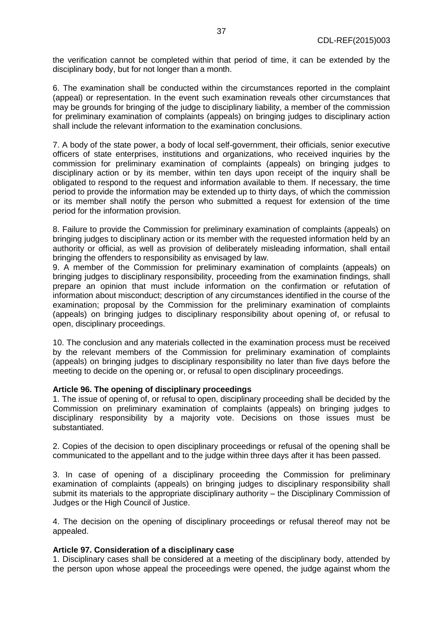the verification cannot be completed within that period of time, it can be extended by the disciplinary body, but for not longer than a month.

6. The examination shall be conducted within the circumstances reported in the complaint (appeal) or representation. In the event such examination reveals other circumstances that may be grounds for bringing of the judge to disciplinary liability, a member of the commission for preliminary examination of complaints (appeals) on bringing judges to disciplinary action shall include the relevant information to the examination conclusions.

7. A body of the state power, a body of local self-government, their officials, senior executive officers of state enterprises, institutions and organizations, who received inquiries by the commission for preliminary examination of complaints (appeals) on bringing judges to disciplinary action or by its member, within ten days upon receipt of the inquiry shall be obligated to respond to the request and information available to them. If necessary, the time period to provide the information may be extended up to thirty days, of which the commission or its member shall notify the person who submitted a request for extension of the time period for the information provision.

8. Failure to provide the Commission for preliminary examination of complaints (appeals) on bringing judges to disciplinary action or its member with the requested information held by an authority or official, as well as provision of deliberately misleading information, shall entail bringing the offenders to responsibility as envisaged by law.

9. A member of the Commission for preliminary examination of complaints (appeals) on bringing judges to disciplinary responsibility, proceeding from the examination findings, shall prepare an opinion that must include information on the confirmation or refutation of information about misconduct; description of any circumstances identified in the course of the examination; proposal by the Commission for the preliminary examination of complaints (appeals) on bringing judges to disciplinary responsibility about opening of, or refusal to open, disciplinary proceedings.

10. The conclusion and any materials collected in the examination process must be received by the relevant members of the Commission for preliminary examination of complaints (appeals) on bringing judges to disciplinary responsibility no later than five days before the meeting to decide on the opening or, or refusal to open disciplinary proceedings.

### **Article 96. The opening of disciplinary proceedings**

1. The issue of opening of, or refusal to open, disciplinary proceeding shall be decided by the Commission on preliminary examination of complaints (appeals) on bringing judges to disciplinary responsibility by a majority vote. Decisions on those issues must be substantiated.

2. Copies of the decision to open disciplinary proceedings or refusal of the opening shall be communicated to the appellant and to the judge within three days after it has been passed.

3. In case of opening of a disciplinary proceeding the Commission for preliminary examination of complaints (appeals) on bringing judges to disciplinary responsibility shall submit its materials to the appropriate disciplinary authority – the Disciplinary Commission of Judges or the High Council of Justice.

4. The decision on the opening of disciplinary proceedings or refusal thereof may not be appealed.

### **Article 97. Consideration of a disciplinary case**

1. Disciplinary cases shall be considered at a meeting of the disciplinary body, attended by the person upon whose appeal the proceedings were opened, the judge against whom the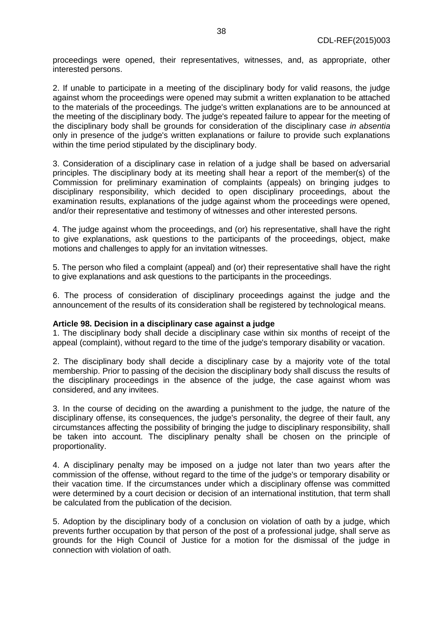proceedings were opened, their representatives, witnesses, and, as appropriate, other interested persons.

2. If unable to participate in a meeting of the disciplinary body for valid reasons, the judge against whom the proceedings were opened may submit a written explanation to be attached to the materials of the proceedings. The judge's written explanations are to be announced at the meeting of the disciplinary body. The judge's repeated failure to appear for the meeting of the disciplinary body shall be grounds for consideration of the disciplinary case *in absentia* only in presence of the judge's written explanations or failure to provide such explanations within the time period stipulated by the disciplinary body.

3. Consideration of a disciplinary case in relation of a judge shall be based on adversarial principles. The disciplinary body at its meeting shall hear a report of the member(s) of the Commission for preliminary examination of complaints (appeals) on bringing judges to disciplinary responsibility, which decided to open disciplinary proceedings, about the examination results, explanations of the judge against whom the proceedings were opened, and/or their representative and testimony of witnesses and other interested persons.

4. The judge against whom the proceedings, and (or) his representative, shall have the right to give explanations, ask questions to the participants of the proceedings, object, make motions and challenges to apply for an invitation witnesses.

5. The person who filed a complaint (appeal) and (or) their representative shall have the right to give explanations and ask questions to the participants in the proceedings.

6. The process of consideration of disciplinary proceedings against the judge and the announcement of the results of its consideration shall be registered by technological means.

### **Article 98. Decision in a disciplinary case against a judge**

1. The disciplinary body shall decide a disciplinary case within six months of receipt of the appeal (complaint), without regard to the time of the judge's temporary disability or vacation.

2. The disciplinary body shall decide a disciplinary case by a majority vote of the total membership. Prior to passing of the decision the disciplinary body shall discuss the results of the disciplinary proceedings in the absence of the judge, the case against whom was considered, and any invitees.

3. In the course of deciding on the awarding a punishment to the judge, the nature of the disciplinary offense, its consequences, the judge's personality, the degree of their fault, any circumstances affecting the possibility of bringing the judge to disciplinary responsibility, shall be taken into account. The disciplinary penalty shall be chosen on the principle of proportionality.

4. A disciplinary penalty may be imposed on a judge not later than two years after the commission of the offense, without regard to the time of the judge's or temporary disability or their vacation time. If the circumstances under which a disciplinary offense was committed were determined by a court decision or decision of an international institution, that term shall be calculated from the publication of the decision.

5. Adoption by the disciplinary body of a conclusion on violation of oath by a judge, which prevents further occupation by that person of the post of a professional judge, shall serve as grounds for the High Council of Justice for a motion for the dismissal of the judge in connection with violation of oath.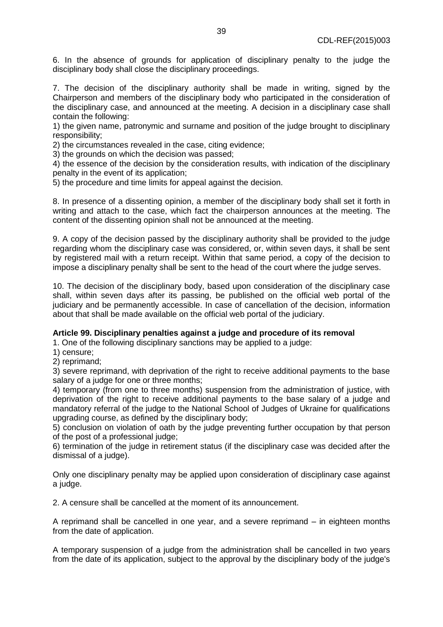6. In the absence of grounds for application of disciplinary penalty to the judge the disciplinary body shall close the disciplinary proceedings.

7. The decision of the disciplinary authority shall be made in writing, signed by the Chairperson and members of the disciplinary body who participated in the consideration of the disciplinary case, and announced at the meeting. A decision in a disciplinary case shall contain the following:

1) the given name, patronymic and surname and position of the judge brought to disciplinary responsibility;

2) the circumstances revealed in the case, citing evidence;

3) the grounds on which the decision was passed;

4) the essence of the decision by the consideration results, with indication of the disciplinary penalty in the event of its application;

5) the procedure and time limits for appeal against the decision.

8. In presence of a dissenting opinion, a member of the disciplinary body shall set it forth in writing and attach to the case, which fact the chairperson announces at the meeting. The content of the dissenting opinion shall not be announced at the meeting.

9. A copy of the decision passed by the disciplinary authority shall be provided to the judge regarding whom the disciplinary case was considered, or, within seven days, it shall be sent by registered mail with a return receipt. Within that same period, a copy of the decision to impose a disciplinary penalty shall be sent to the head of the court where the judge serves.

10. The decision of the disciplinary body, based upon consideration of the disciplinary case shall, within seven days after its passing, be published on the official web portal of the judiciary and be permanently accessible. In case of cancellation of the decision, information about that shall be made available on the official web portal of the judiciary.

### **Article 99. Disciplinary penalties against a judge and procedure of its removal**

1. One of the following disciplinary sanctions may be applied to a judge:

1) censure;

2) reprimand;

3) severe reprimand, with deprivation of the right to receive additional payments to the base salary of a judge for one or three months;

4) temporary (from one to three months) suspension from the administration of justice, with deprivation of the right to receive additional payments to the base salary of a judge and mandatory referral of the judge to the National School of Judges of Ukraine for qualifications upgrading course, as defined by the disciplinary body;

5) conclusion on violation of oath by the judge preventing further occupation by that person of the post of a professional judge;

6) termination of the judge in retirement status (if the disciplinary case was decided after the dismissal of a judge).

Only one disciplinary penalty may be applied upon consideration of disciplinary case against a judge.

2. A censure shall be cancelled at the moment of its announcement.

A reprimand shall be cancelled in one year, and a severe reprimand – in eighteen months from the date of application.

A temporary suspension of a judge from the administration shall be cancelled in two years from the date of its application, subject to the approval by the disciplinary body of the judge's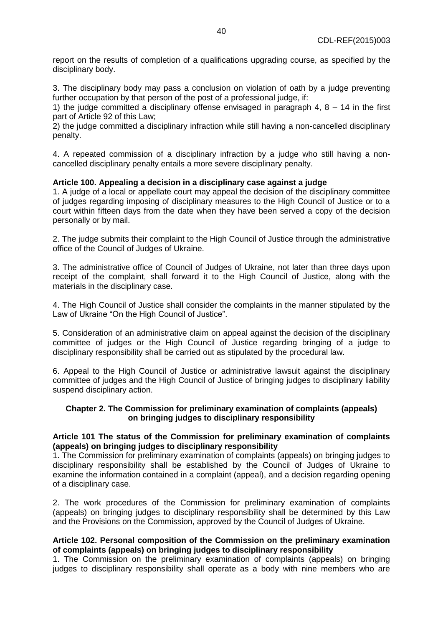report on the results of completion of a qualifications upgrading course, as specified by the disciplinary body.

3. The disciplinary body may pass a conclusion on violation of oath by a judge preventing further occupation by that person of the post of a professional judge, if:

1) the judge committed a disciplinary offense envisaged in paragraph  $4, 8 - 14$  in the first part of Article 92 of this Law;

2) the judge committed a disciplinary infraction while still having a non-cancelled disciplinary penalty.

4. A repeated commission of a disciplinary infraction by a judge who still having a noncancelled disciplinary penalty entails a more severe disciplinary penalty.

# **Article 100. Appealing a decision in a disciplinary case against a judge**

1. A judge of a local or appellate court may appeal the decision of the disciplinary committee of judges regarding imposing of disciplinary measures to the High Council of Justice or to a court within fifteen days from the date when they have been served a copy of the decision personally or by mail.

2. The judge submits their complaint to the High Council of Justice through the administrative office of the Council of Judges of Ukraine.

3. The administrative office of Council of Judges of Ukraine, not later than three days upon receipt of the complaint, shall forward it to the High Council of Justice, along with the materials in the disciplinary case.

4. The High Council of Justice shall consider the complaints in the manner stipulated by the Law of Ukraine "On the High Council of Justice".

5. Consideration of an administrative claim on appeal against the decision of the disciplinary committee of judges or the High Council of Justice regarding bringing of a judge to disciplinary responsibility shall be carried out as stipulated by the procedural law.

6. Appeal to the High Council of Justice or administrative lawsuit against the disciplinary committee of judges and the High Council of Justice of bringing judges to disciplinary liability suspend disciplinary action.

# **Chapter 2. The Commission for preliminary examination of complaints (appeals) on bringing judges to disciplinary responsibility**

# **Article 101 The status of the Commission for preliminary examination of complaints (appeals) on bringing judges to disciplinary responsibility**

1. The Commission for preliminary examination of complaints (appeals) on bringing judges to disciplinary responsibility shall be established by the Council of Judges of Ukraine to examine the information contained in a complaint (appeal), and a decision regarding opening of a disciplinary case.

2. The work procedures of the Commission for preliminary examination of complaints (appeals) on bringing judges to disciplinary responsibility shall be determined by this Law and the Provisions on the Commission, approved by the Council of Judges of Ukraine.

### **Article 102. Personal composition of the Commission on the preliminary examination of complaints (appeals) on bringing judges to disciplinary responsibility**

1. The Commission on the preliminary examination of complaints (appeals) on bringing judges to disciplinary responsibility shall operate as a body with nine members who are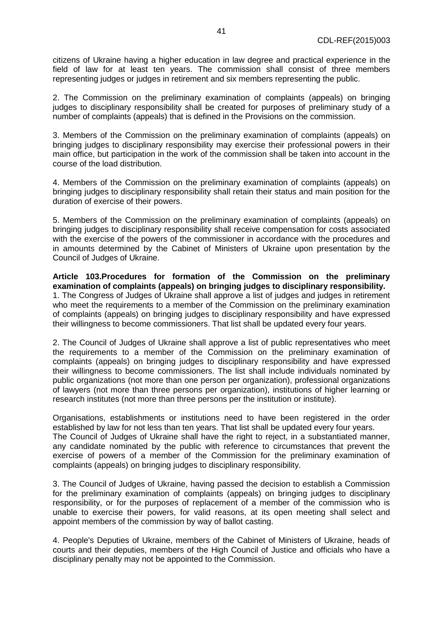citizens of Ukraine having a higher education in law degree and practical experience in the field of law for at least ten years. The commission shall consist of three members representing judges or judges in retirement and six members representing the public.

2. The Commission on the preliminary examination of complaints (appeals) on bringing judges to disciplinary responsibility shall be created for purposes of preliminary study of a number of complaints (appeals) that is defined in the Provisions on the commission.

3. Members of the Commission on the preliminary examination of complaints (appeals) on bringing judges to disciplinary responsibility may exercise their professional powers in their main office, but participation in the work of the commission shall be taken into account in the course of the load distribution.

4. Members of the Commission on the preliminary examination of complaints (appeals) on bringing judges to disciplinary responsibility shall retain their status and main position for the duration of exercise of their powers.

5. Members of the Commission on the preliminary examination of complaints (appeals) on bringing judges to disciplinary responsibility shall receive compensation for costs associated with the exercise of the powers of the commissioner in accordance with the procedures and in amounts determined by the Cabinet of Ministers of Ukraine upon presentation by the Council of Judges of Ukraine.

**Article 103.Procedures for formation of the Commission on the preliminary examination of complaints (appeals) on bringing judges to disciplinary responsibility.** 1. The Congress of Judges of Ukraine shall approve a list of judges and judges in retirement who meet the requirements to a member of the Commission on the preliminary examination of complaints (appeals) on bringing judges to disciplinary responsibility and have expressed their willingness to become commissioners. That list shall be updated every four years.

2. The Council of Judges of Ukraine shall approve a list of public representatives who meet the requirements to a member of the Commission on the preliminary examination of complaints (appeals) on bringing judges to disciplinary responsibility and have expressed their willingness to become commissioners. The list shall include individuals nominated by public organizations (not more than one person per organization), professional organizations of lawyers (not more than three persons per organization), institutions of higher learning or research institutes (not more than three persons per the institution or institute).

Organisations, establishments or institutions need to have been registered in the order established by law for not less than ten years. That list shall be updated every four years. The Council of Judges of Ukraine shall have the right to reject, in a substantiated manner, any candidate nominated by the public with reference to circumstances that prevent the exercise of powers of a member of the Commission for the preliminary examination of complaints (appeals) on bringing judges to disciplinary responsibility.

3. The Council of Judges of Ukraine, having passed the decision to establish a Commission for the preliminary examination of complaints (appeals) on bringing judges to disciplinary responsibility, or for the purposes of replacement of a member of the commission who is unable to exercise their powers, for valid reasons, at its open meeting shall select and appoint members of the commission by way of ballot casting.

4. People's Deputies of Ukraine, members of the Cabinet of Ministers of Ukraine, heads of courts and their deputies, members of the High Council of Justice and officials who have a disciplinary penalty may not be appointed to the Commission.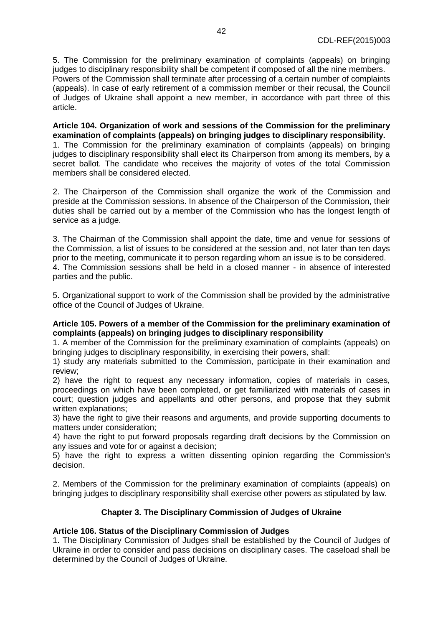5. The Commission for the preliminary examination of complaints (appeals) on bringing judges to disciplinary responsibility shall be competent if composed of all the nine members. Powers of the Commission shall terminate after processing of a certain number of complaints (appeals). In case of early retirement of a commission member or their recusal, the Council of Judges of Ukraine shall appoint a new member, in accordance with part three of this article.

**Article 104. Organization of work and sessions of the Commission for the preliminary examination of complaints (appeals) on bringing judges to disciplinary responsibility.** 

1. The Commission for the preliminary examination of complaints (appeals) on bringing judges to disciplinary responsibility shall elect its Chairperson from among its members, by a secret ballot. The candidate who receives the majority of votes of the total Commission members shall be considered elected.

2. The Chairperson of the Commission shall organize the work of the Commission and preside at the Commission sessions. In absence of the Chairperson of the Commission, their duties shall be carried out by a member of the Commission who has the longest length of service as a judge.

3. The Chairman of the Commission shall appoint the date, time and venue for sessions of the Commission, a list of issues to be considered at the session and, not later than ten days prior to the meeting, communicate it to person regarding whom an issue is to be considered. 4. The Commission sessions shall be held in a closed manner - in absence of interested parties and the public.

5. Organizational support to work of the Commission shall be provided by the administrative office of the Council of Judges of Ukraine.

# **Article 105. Powers of a member of the Commission for the preliminary examination of complaints (appeals) on bringing judges to disciplinary responsibility**

1. A member of the Commission for the preliminary examination of complaints (appeals) on bringing judges to disciplinary responsibility, in exercising their powers, shall:

1) study any materials submitted to the Commission, participate in their examination and review;

2) have the right to request any necessary information, copies of materials in cases, proceedings on which have been completed, or get familiarized with materials of cases in court; question judges and appellants and other persons, and propose that they submit written explanations;

3) have the right to give their reasons and arguments, and provide supporting documents to matters under consideration;

4) have the right to put forward proposals regarding draft decisions by the Commission on any issues and vote for or against a decision;

5) have the right to express a written dissenting opinion regarding the Commission's decision.

2. Members of the Commission for the preliminary examination of complaints (appeals) on bringing judges to disciplinary responsibility shall exercise other powers as stipulated by law.

# **Chapter 3. The Disciplinary Commission of Judges of Ukraine**

# **Article 106. Status of the Disciplinary Commission of Judges**

1. The Disciplinary Commission of Judges shall be established by the Council of Judges of Ukraine in order to consider and pass decisions on disciplinary cases. The caseload shall be determined by the Council of Judges of Ukraine.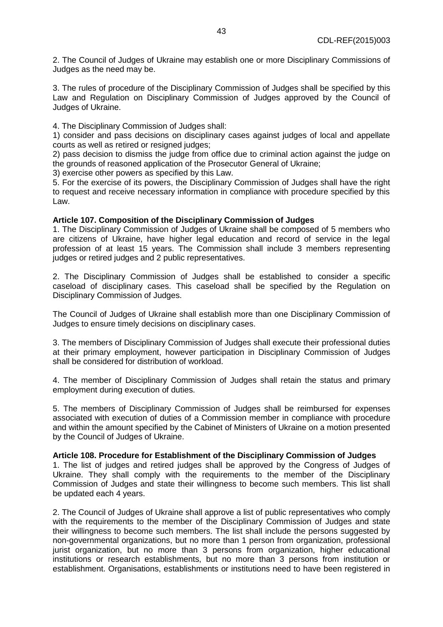2. The Council of Judges of Ukraine may establish one or more Disciplinary Commissions of Judges as the need may be.

3. The rules of procedure of the Disciplinary Commission of Judges shall be specified by this Law and Regulation on Disciplinary Commission of Judges approved by the Council of Judges of Ukraine.

4. The Disciplinary Commission of Judges shall:

1) consider and pass decisions on disciplinary cases against judges of local and appellate courts as well as retired or resigned judges;

2) pass decision to dismiss the judge from office due to criminal action against the judge on the grounds of reasoned application of the Prosecutor General of Ukraine;

3) exercise other powers as specified by this Law.

5. For the exercise of its powers, the Disciplinary Commission of Judges shall have the right to request and receive necessary information in compliance with procedure specified by this Law.

# **Article 107. Composition of the Disciplinary Commission of Judges**

1. The Disciplinary Commission of Judges of Ukraine shall be composed of 5 members who are citizens of Ukraine, have higher legal education and record of service in the legal profession of at least 15 years. The Commission shall include 3 members representing judges or retired judges and 2 public representatives.

2. The Disciplinary Commission of Judges shall be established to consider a specific caseload of disciplinary cases. This caseload shall be specified by the Regulation on Disciplinary Commission of Judges.

The Council of Judges of Ukraine shall establish more than one Disciplinary Commission of Judges to ensure timely decisions on disciplinary cases.

3. The members of Disciplinary Commission of Judges shall execute their professional duties at their primary employment, however participation in Disciplinary Commission of Judges shall be considered for distribution of workload.

4. The member of Disciplinary Commission of Judges shall retain the status and primary employment during execution of duties.

5. The members of Disciplinary Commission of Judges shall be reimbursed for expenses associated with execution of duties of a Commission member in compliance with procedure and within the amount specified by the Cabinet of Ministers of Ukraine on a motion presented by the Council of Judges of Ukraine.

### **Article 108. Procedure for Establishment of the Disciplinary Commission of Judges**

1. The list of judges and retired judges shall be approved by the Congress of Judges of Ukraine. They shall comply with the requirements to the member of the Disciplinary Commission of Judges and state their willingness to become such members. This list shall be updated each 4 years.

2. The Council of Judges of Ukraine shall approve a list of public representatives who comply with the requirements to the member of the Disciplinary Commission of Judges and state their willingness to become such members. The list shall include the persons suggested by non-governmental organizations, but no more than 1 person from organization, professional jurist organization, but no more than 3 persons from organization, higher educational institutions or research establishments, but no more than 3 persons from institution or establishment. Organisations, establishments or institutions need to have been registered in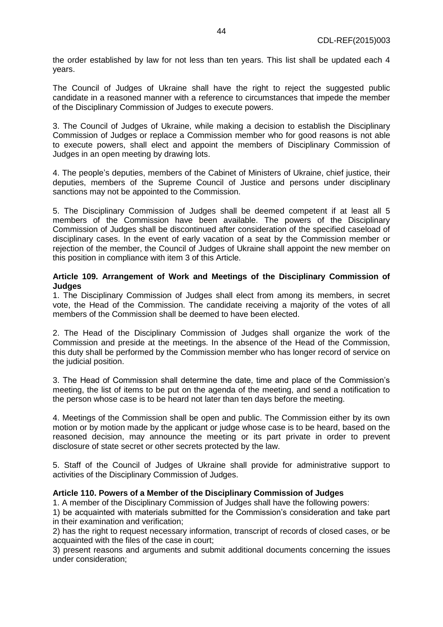the order established by law for not less than ten years. This list shall be updated each 4 years.

The Council of Judges of Ukraine shall have the right to reject the suggested public candidate in a reasoned manner with a reference to circumstances that impede the member of the Disciplinary Commission of Judges to execute powers.

3. The Council of Judges of Ukraine, while making a decision to establish the Disciplinary Commission of Judges or replace a Commission member who for good reasons is not able to execute powers, shall elect and appoint the members of Disciplinary Commission of Judges in an open meeting by drawing lots.

4. The people's deputies, members of the Cabinet of Ministers of Ukraine, chief justice, their deputies, members of the Supreme Council of Justice and persons under disciplinary sanctions may not be appointed to the Commission.

5. The Disciplinary Commission of Judges shall be deemed competent if at least all 5 members of the Commission have been available. The powers of the Disciplinary Commission of Judges shall be discontinued after consideration of the specified caseload of disciplinary cases. In the event of early vacation of a seat by the Commission member or rejection of the member, the Council of Judges of Ukraine shall appoint the new member on this position in compliance with item 3 of this Article.

### **Article 109. Arrangement of Work and Meetings of the Disciplinary Commission of Judges**

1. The Disciplinary Commission of Judges shall elect from among its members, in secret vote, the Head of the Commission. The candidate receiving a majority of the votes of all members of the Commission shall be deemed to have been elected.

2. The Head of the Disciplinary Commission of Judges shall organize the work of the Commission and preside at the meetings. In the absence of the Head of the Commission, this duty shall be performed by the Commission member who has longer record of service on the judicial position.

3. The Head of Commission shall determine the date, time and place of the Commission's meeting, the list of items to be put on the agenda of the meeting, and send a notification to the person whose case is to be heard not later than ten days before the meeting.

4. Meetings of the Commission shall be open and public. The Commission either by its own motion or by motion made by the applicant or judge whose case is to be heard, based on the reasoned decision, may announce the meeting or its part private in order to prevent disclosure of state secret or other secrets protected by the law.

5. Staff of the Council of Judges of Ukraine shall provide for administrative support to activities of the Disciplinary Commission of Judges.

### **Article 110. Powers of a Member of the Disciplinary Commission of Judges**

1. A member of the Disciplinary Commission of Judges shall have the following powers:

1) be acquainted with materials submitted for the Commission's consideration and take part in their examination and verification;

2) has the right to request necessary information, transcript of records of closed cases, or be acquainted with the files of the case in court;

3) present reasons and arguments and submit additional documents concerning the issues under consideration;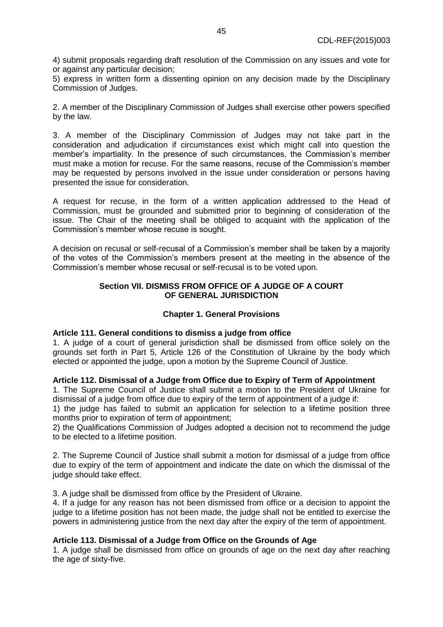4) submit proposals regarding draft resolution of the Commission on any issues and vote for or against any particular decision;

5) express in written form a dissenting opinion on any decision made by the Disciplinary Commission of Judges.

2. A member of the Disciplinary Commission of Judges shall exercise other powers specified by the law.

3. A member of the Disciplinary Commission of Judges may not take part in the consideration and adjudication if circumstances exist which might call into question the member's impartiality. In the presence of such circumstances, the Commission's member must make a motion for recuse. For the same reasons, recuse of the Commission's member may be requested by persons involved in the issue under consideration or persons having presented the issue for consideration.

A request for recuse, in the form of a written application addressed to the Head of Commission, must be grounded and submitted prior to beginning of consideration of the issue. The Chair of the meeting shall be obliged to acquaint with the application of the Commission's member whose recuse is sought.

A decision on recusal or self-recusal of a Commission's member shall be taken by a majority of the votes of the Commission's members present at the meeting in the absence of the Commission's member whose recusal or self-recusal is to be voted upon.

# **Section VII. DISMISS FROM OFFICE OF A JUDGE OF A COURT OF GENERAL JURISDICTION**

### **Chapter 1. General Provisions**

### **Article 111. General conditions to dismiss a judge from office**

1. A judge of a court of general jurisdiction shall be dismissed from office solely on the grounds set forth in Part 5, Article 126 of the Constitution of Ukraine by the body which elected or appointed the judge, upon a motion by the Supreme Council of Justice.

### **Article 112. Dismissal of a Judge from Office due to Expiry of Term of Appointment**

1. The Supreme Council of Justice shall submit a motion to the President of Ukraine for dismissal of a judge from office due to expiry of the term of appointment of a judge if:

1) the judge has failed to submit an application for selection to a lifetime position three months prior to expiration of term of appointment;

2) the Qualifications Commission of Judges adopted a decision not to recommend the judge to be elected to a lifetime position.

2. The Supreme Council of Justice shall submit a motion for dismissal of a judge from office due to expiry of the term of appointment and indicate the date on which the dismissal of the judge should take effect.

3. A judge shall be dismissed from office by the President of Ukraine.

4. If a judge for any reason has not been dismissed from office or a decision to appoint the judge to a lifetime position has not been made, the judge shall not be entitled to exercise the powers in administering justice from the next day after the expiry of the term of appointment.

### **Article 113. Dismissal of a Judge from Office on the Grounds of Age**

1. A judge shall be dismissed from office on grounds of age on the next day after reaching the age of sixty-five.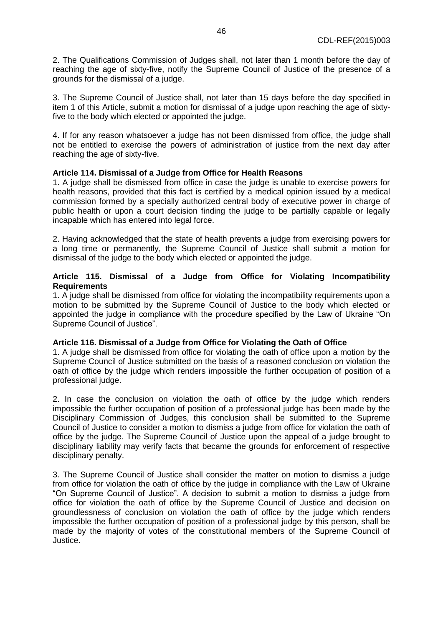2. The Qualifications Commission of Judges shall, not later than 1 month before the day of reaching the age of sixty-five, notify the Supreme Council of Justice of the presence of a grounds for the dismissal of a judge.

3. The Supreme Council of Justice shall, not later than 15 days before the day specified in item 1 of this Article, submit a motion for dismissal of a judge upon reaching the age of sixtyfive to the body which elected or appointed the judge.

4. If for any reason whatsoever a judge has not been dismissed from office, the judge shall not be entitled to exercise the powers of administration of justice from the next day after reaching the age of sixty-five.

# **Article 114. Dismissal of a Judge from Office for Health Reasons**

1. A judge shall be dismissed from office in case the judge is unable to exercise powers for health reasons, provided that this fact is certified by a medical opinion issued by a medical commission formed by a specially authorized central body of executive power in charge of public health or upon a court decision finding the judge to be partially capable or legally incapable which has entered into legal force.

2. Having acknowledged that the state of health prevents a judge from exercising powers for a long time or permanently, the Supreme Council of Justice shall submit a motion for dismissal of the judge to the body which elected or appointed the judge.

### **Article 115. Dismissal of a Judge from Office for Violating Incompatibility Requirements**

1. A judge shall be dismissed from office for violating the incompatibility requirements upon a motion to be submitted by the Supreme Council of Justice to the body which elected or appointed the judge in compliance with the procedure specified by the Law of Ukraine "On Supreme Council of Justice".

### **Article 116. Dismissal of a Judge from Office for Violating the Oath of Office**

1. A judge shall be dismissed from office for violating the oath of office upon a motion by the Supreme Council of Justice submitted on the basis of a reasoned conclusion on violation the oath of office by the judge which renders impossible the further occupation of position of a professional judge.

2. In case the conclusion on violation the oath of office by the judge which renders impossible the further occupation of position of a professional judge has been made by the Disciplinary Commission of Judges, this conclusion shall be submitted to the Supreme Council of Justice to consider a motion to dismiss a judge from office for violation the oath of office by the judge. The Supreme Council of Justice upon the appeal of a judge brought to disciplinary liability may verify facts that became the grounds for enforcement of respective disciplinary penalty.

3. The Supreme Council of Justice shall consider the matter on motion to dismiss a judge from office for violation the oath of office by the judge in compliance with the Law of Ukraine "On Supreme Council of Justice". A decision to submit a motion to dismiss a judge from office for violation the oath of office by the Supreme Council of Justice and decision on groundlessness of conclusion on violation the oath of office by the judge which renders impossible the further occupation of position of a professional judge by this person, shall be made by the majority of votes of the constitutional members of the Supreme Council of Justice.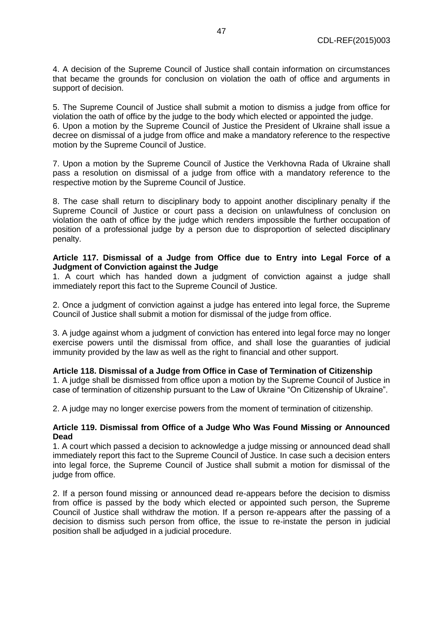4. A decision of the Supreme Council of Justice shall contain information on circumstances that became the grounds for conclusion on violation the oath of office and arguments in support of decision.

5. The Supreme Council of Justice shall submit a motion to dismiss a judge from office for violation the oath of office by the judge to the body which elected or appointed the judge. 6. Upon a motion by the Supreme Council of Justice the President of Ukraine shall issue a decree on dismissal of a judge from office and make a mandatory reference to the respective motion by the Supreme Council of Justice.

7. Upon a motion by the Supreme Council of Justice the Verkhovna Rada of Ukraine shall pass a resolution on dismissal of a judge from office with a mandatory reference to the respective motion by the Supreme Council of Justice.

8. The case shall return to disciplinary body to appoint another disciplinary penalty if the Supreme Council of Justice or court pass a decision on unlawfulness of conclusion on violation the oath of office by the judge which renders impossible the further occupation of position of a professional judge by a person due to disproportion of selected disciplinary penalty.

### **Article 117. Dismissal of a Judge from Office due to Entry into Legal Force of a Judgment of Conviction against the Judge**

1. A court which has handed down a judgment of conviction against a judge shall immediately report this fact to the Supreme Council of Justice.

2. Once a judgment of conviction against a judge has entered into legal force, the Supreme Council of Justice shall submit a motion for dismissal of the judge from office.

3. A judge against whom a judgment of conviction has entered into legal force may no longer exercise powers until the dismissal from office, and shall lose the guaranties of judicial immunity provided by the law as well as the right to financial and other support.

### **Article 118. Dismissal of a Judge from Office in Case of Termination of Citizenship**

1. A judge shall be dismissed from office upon a motion by the Supreme Council of Justice in case of termination of citizenship pursuant to the Law of Ukraine "On Citizenship of Ukraine".

2. A judge may no longer exercise powers from the moment of termination of citizenship.

### **Article 119. Dismissal from Office of a Judge Who Was Found Missing or Announced Dead**

1. A court which passed a decision to acknowledge a judge missing or announced dead shall immediately report this fact to the Supreme Council of Justice. In case such a decision enters into legal force, the Supreme Council of Justice shall submit a motion for dismissal of the judge from office.

2. If a person found missing or announced dead re-appears before the decision to dismiss from office is passed by the body which elected or appointed such person, the Supreme Council of Justice shall withdraw the motion. If a person re-appears after the passing of a decision to dismiss such person from office, the issue to re-instate the person in judicial position shall be adjudged in a judicial procedure.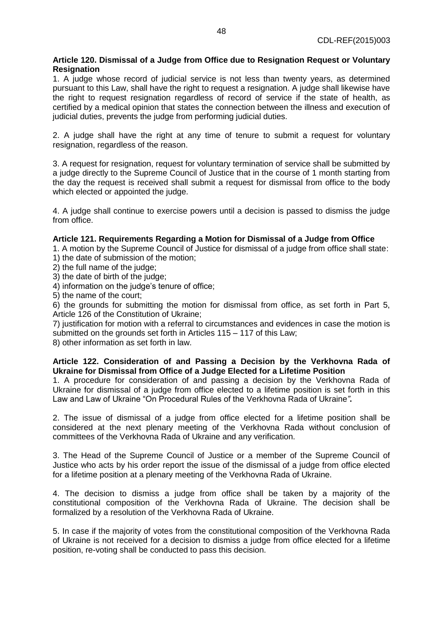# **Article 120. Dismissal of a Judge from Office due to Resignation Request or Voluntary Resignation**

1. A judge whose record of judicial service is not less than twenty years, as determined pursuant to this Law, shall have the right to request a resignation. A judge shall likewise have the right to request resignation regardless of record of service if the state of health, as certified by a medical opinion that states the connection between the illness and execution of judicial duties, prevents the judge from performing judicial duties.

2. A judge shall have the right at any time of tenure to submit a request for voluntary resignation, regardless of the reason.

3. A request for resignation, request for voluntary termination of service shall be submitted by a judge directly to the Supreme Council of Justice that in the course of 1 month starting from the day the request is received shall submit a request for dismissal from office to the body which elected or appointed the judge.

4. A judge shall continue to exercise powers until a decision is passed to dismiss the judge from office.

# **Article 121. Requirements Regarding a Motion for Dismissal of a Judge from Office**

1. A motion by the Supreme Council of Justice for dismissal of a judge from office shall state: 1) the date of submission of the motion;

- 2) the full name of the judge;
- 3) the date of birth of the judge;
- 4) information on the judge's tenure of office;

5) the name of the court;

6) the grounds for submitting the motion for dismissal from office, as set forth in Part 5, Article 126 of the Constitution of Ukraine;

7) justification for motion with a referral to circumstances and evidences in case the motion is submitted on the grounds set forth in Articles 115 – 117 of this Law;

8) other information as set forth in law.

# **Article 122. Consideration of and Passing a Decision by the Verkhovna Rada of Ukraine for Dismissal from Office of a Judge Elected for a Lifetime Position**

1. A procedure for consideration of and passing a decision by the Verkhovna Rada of Ukraine for dismissal of a judge from office elected to a lifetime position is set forth in this Law and Law of Ukraine "On Procedural Rules of the Verkhovna Rada of Ukraine*"***.** 

2. The issue of dismissal of a judge from office elected for a lifetime position shall be considered at the next plenary meeting of the Verkhovna Rada without conclusion of committees of the Verkhovna Rada of Ukraine and any verification.

3. The Head of the Supreme Council of Justice or a member of the Supreme Council of Justice who acts by his order report the issue of the dismissal of a judge from office elected for a lifetime position at a plenary meeting of the Verkhovna Rada of Ukraine.

4. The decision to dismiss a judge from office shall be taken by a majority of the constitutional composition of the Verkhovna Rada of Ukraine. The decision shall be formalized by a resolution of the Verkhovna Rada of Ukraine.

5. In case if the majority of votes from the constitutional composition of the Verkhovna Rada of Ukraine is not received for a decision to dismiss a judge from office elected for a lifetime position, re-voting shall be conducted to pass this decision.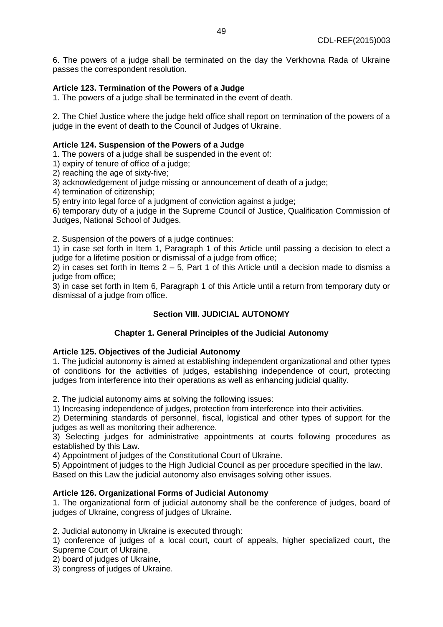6. The powers of a judge shall be terminated on the day the Verkhovna Rada of Ukraine passes the correspondent resolution.

# **Article 123. Termination of the Powers of a Judge**

1. The powers of a judge shall be terminated in the event of death.

2. The Chief Justice where the judge held office shall report on termination of the powers of a judge in the event of death to the Council of Judges of Ukraine.

#### **Article 124. Suspension of the Powers of a Judge**

1. The powers of a judge shall be suspended in the event of:

1) expiry of tenure of office of a judge;

2) reaching the age of sixty-five;

3) acknowledgement of judge missing or announcement of death of a judge;

4) termination of citizenship;

5) entry into legal force of a judgment of conviction against a judge;

6) temporary duty of a judge in the Supreme Council of Justice, Qualification Commission of Judges, National School of Judges.

2. Suspension of the powers of a judge continues:

1) in case set forth in Item 1, Paragraph 1 of this Article until passing a decision to elect a judge for a lifetime position or dismissal of a judge from office;

2) in cases set forth in Items  $2 - 5$ . Part 1 of this Article until a decision made to dismiss a judge from office:

3) in case set forth in Item 6, Paragraph 1 of this Article until a return from temporary duty or dismissal of a judge from office.

# **Section VIII. JUDICIAL AUTONOMY**

### **Chapter 1. General Principles of the Judicial Autonomy**

#### **Article 125. Objectives of the Judicial Autonomy**

1. The judicial autonomy is aimed at establishing independent organizational and other types of conditions for the activities of judges, establishing independence of court, protecting judges from interference into their operations as well as enhancing judicial quality.

2. The judicial autonomy aims at solving the following issues:

1) Increasing independence of judges, protection from interference into their activities.

2) Determining standards of personnel, fiscal, logistical and other types of support for the judges as well as monitoring their adherence.

3) Selecting judges for administrative appointments at courts following procedures as established by this Law.

4) Appointment of judges of the Constitutional Court of Ukraine.

5) Appointment of judges to the High Judicial Council as per procedure specified in the law.

Based on this Law the judicial autonomy also envisages solving other issues.

### **Article 126. Organizational Forms of Judicial Autonomy**

1. The organizational form of judicial autonomy shall be the conference of judges, board of judges of Ukraine, congress of judges of Ukraine.

2. Judicial autonomy in Ukraine is executed through:

1) conference of judges of a local court, court of appeals, higher specialized court, the Supreme Court of Ukraine,

2) board of judges of Ukraine,

3) congress of judges of Ukraine.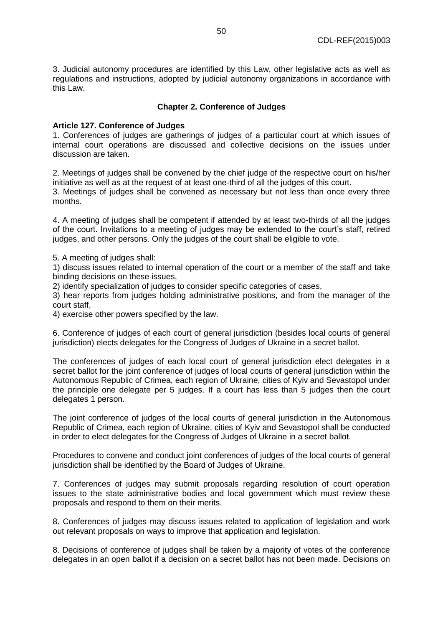3. Judicial autonomy procedures are identified by this Law, other legislative acts as well as regulations and instructions, adopted by judicial autonomy organizations in accordance with this Law.

# **Chapter 2. Conference of Judges**

### **Article 127. Conference of Judges**

1. Conferences of judges are gatherings of judges of a particular court at which issues of internal court operations are discussed and collective decisions on the issues under discussion are taken.

2. Meetings of judges shall be convened by the chief judge of the respective court on his/her initiative as well as at the request of at least one-third of all the judges of this court. 3. Meetings of judges shall be convened as necessary but not less than once every three months.

4. A meeting of judges shall be competent if attended by at least two-thirds of all the judges of the court. Invitations to a meeting of judges may be extended to the court's staff, retired judges, and other persons. Only the judges of the court shall be eligible to vote.

5. A meeting of judges shall:

1) discuss issues related to internal operation of the court or a member of the staff and take binding decisions on these issues,

2) identify specialization of judges to consider specific categories of cases,

3) hear reports from judges holding administrative positions, and from the manager of the court staff,

4) exercise other powers specified by the law.

6. Conference of judges of each court of general jurisdiction (besides local courts of general jurisdiction) elects delegates for the Congress of Judges of Ukraine in a secret ballot.

The conferences of judges of each local court of general jurisdiction elect delegates in a secret ballot for the joint conference of judges of local courts of general jurisdiction within the Autonomous Republic of Crimea, each region of Ukraine, cities of Kyiv and Sevastopol under the principle one delegate per 5 judges. If a court has less than 5 judges then the court delegates 1 person.

The joint conference of judges of the local courts of general jurisdiction in the Autonomous Republic of Crimea, each region of Ukraine, cities of Kyiv and Sevastopol shall be conducted in order to elect delegates for the Congress of Judges of Ukraine in a secret ballot.

Procedures to convene and conduct joint conferences of judges of the local courts of general jurisdiction shall be identified by the Board of Judges of Ukraine.

7. Conferences of judges may submit proposals regarding resolution of court operation issues to the state administrative bodies and local government which must review these proposals and respond to them on their merits.

8. Conferences of judges may discuss issues related to application of legislation and work out relevant proposals on ways to improve that application and legislation.

8. Decisions of conference of judges shall be taken by a majority of votes of the conference delegates in an open ballot if a decision on a secret ballot has not been made. Decisions on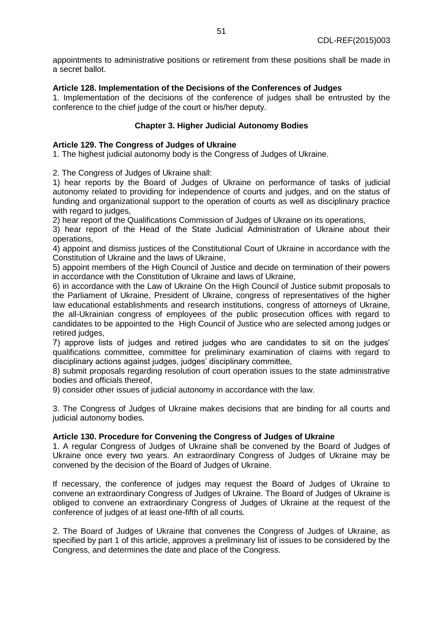appointments to administrative positions or retirement from these positions shall be made in a secret ballot.

# **Article 128. Implementation of the Decisions of the Conferences of Judges**

1. Implementation of the decisions of the conference of judges shall be entrusted by the conference to the chief judge of the court or his/her deputy.

# **Chapter 3. Higher Judicial Autonomy Bodies**

### **Article 129. The Congress of Judges of Ukraine**

1. The highest judicial autonomy body is the Congress of Judges of Ukraine.

2. The Congress of Judges of Ukraine shall:

1) hear reports by the Board of Judges of Ukraine on performance of tasks of judicial autonomy related to providing for independence of courts and judges, and on the status of funding and organizational support to the operation of courts as well as disciplinary practice with regard to judges.

2) hear report of the Qualifications Commission of Judges of Ukraine on its operations,

3) hear report of the Head of the State Judicial Administration of Ukraine about their operations,

4) appoint and dismiss justices of the Constitutional Court of Ukraine in accordance with the Constitution of Ukraine and the laws of Ukraine,

5) appoint members of the High Council of Justice and decide on termination of their powers in accordance with the Constitution of Ukraine and laws of Ukraine,

6) in accordance with the Law of Ukraine On the High Council of Justice submit proposals to the Parliament of Ukraine, President of Ukraine, congress of representatives of the higher law educational establishments and research institutions, congress of attorneys of Ukraine, the all-Ukrainian congress of employees of the public prosecution offices with regard to candidates to be appointed to the High Council of Justice who are selected among judges or retired judges,

7) approve lists of judges and retired judges who are candidates to sit on the judges' qualifications committee, committee for preliminary examination of claims with regard to disciplinary actions against judges, judges' disciplinary committee,

8) submit proposals regarding resolution of court operation issues to the state administrative bodies and officials thereof,

9) consider other issues of judicial autonomy in accordance with the law.

3. The Congress of Judges of Ukraine makes decisions that are binding for all courts and judicial autonomy bodies.

### **Article 130. Procedure for Convening the Congress of Judges of Ukraine**

1. A regular Congress of Judges of Ukraine shall be convened by the Board of Judges of Ukraine once every two years. An extraordinary Congress of Judges of Ukraine may be convened by the decision of the Board of Judges of Ukraine.

If necessary, the conference of judges may request the Board of Judges of Ukraine to convene an extraordinary Congress of Judges of Ukraine. The Board of Judges of Ukraine is obliged to convene an extraordinary Congress of Judges of Ukraine at the request of the conference of judges of at least one-fifth of all courts.

2. The Board of Judges of Ukraine that convenes the Congress of Judges of Ukraine, as specified by part 1 of this article, approves a preliminary list of issues to be considered by the Congress, and determines the date and place of the Congress.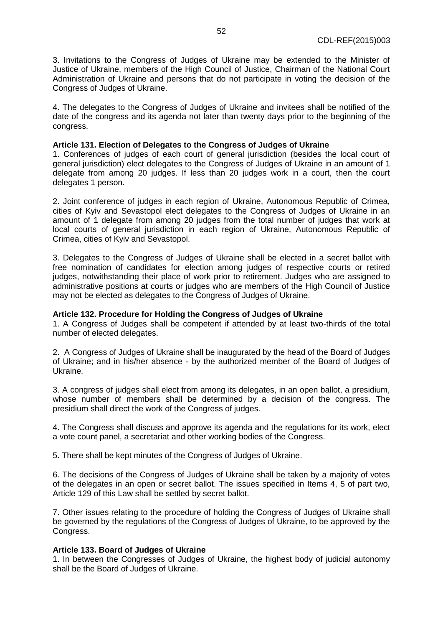3. Invitations to the Congress of Judges of Ukraine may be extended to the Minister of Justice of Ukraine, members of the High Council of Justice, Chairman of the National Court Administration of Ukraine and persons that do not participate in voting the decision of the Congress of Judges of Ukraine.

4. The delegates to the Congress of Judges of Ukraine and invitees shall be notified of the date of the congress and its agenda not later than twenty days prior to the beginning of the congress.

### **Article 131. Election of Delegates to the Congress of Judges of Ukraine**

1. Conferences of judges of each court of general jurisdiction (besides the local court of general jurisdiction) elect delegates to the Congress of Judges of Ukraine in an amount of 1 delegate from among 20 judges. If less than 20 judges work in a court, then the court delegates 1 person.

2. Joint conference of judges in each region of Ukraine, Autonomous Republic of Crimea, cities of Kyiv and Sevastopol elect delegates to the Congress of Judges of Ukraine in an amount of 1 delegate from among 20 judges from the total number of judges that work at local courts of general jurisdiction in each region of Ukraine, Autonomous Republic of Crimea, cities of Kyiv and Sevastopol.

3. Delegates to the Congress of Judges of Ukraine shall be elected in a secret ballot with free nomination of candidates for election among judges of respective courts or retired judges, notwithstanding their place of work prior to retirement. Judges who are assigned to administrative positions at courts or judges who are members of the High Council of Justice may not be elected as delegates to the Congress of Judges of Ukraine.

### **Article 132. Procedure for Holding the Congress of Judges of Ukraine**

1. A Congress of Judges shall be competent if attended by at least two-thirds of the total number of elected delegates.

2. A Congress of Judges of Ukraine shall be inaugurated by the head of the Board of Judges of Ukraine; and in his/her absence - by the authorized member of the Board of Judges of Ukraine.

3. A congress of judges shall elect from among its delegates, in an open ballot, a presidium, whose number of members shall be determined by a decision of the congress. The presidium shall direct the work of the Congress of judges.

4. The Congress shall discuss and approve its agenda and the regulations for its work, elect a vote count panel, a secretariat and other working bodies of the Congress.

5. There shall be kept minutes of the Congress of Judges of Ukraine.

6. The decisions of the Congress of Judges of Ukraine shall be taken by a majority of votes of the delegates in an open or secret ballot. The issues specified in Items 4, 5 of part two, Article 129 of this Law shall be settled by secret ballot.

7. Other issues relating to the procedure of holding the Congress of Judges of Ukraine shall be governed by the regulations of the Congress of Judges of Ukraine, to be approved by the Congress.

### **Article 133. Board of Judges of Ukraine**

1. In between the Congresses of Judges of Ukraine, the highest body of judicial autonomy shall be the Board of Judges of Ukraine.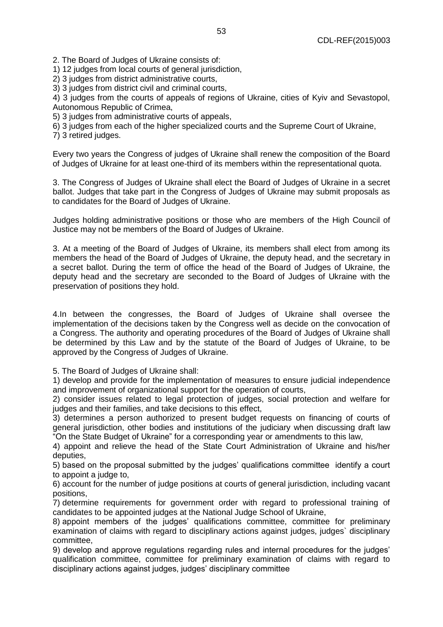2. The Board of Judges of Ukraine consists of:

1) 12 judges from local courts of general jurisdiction,

2) 3 judges from district administrative courts,

3) 3 judges from district civil and criminal courts,

4) 3 judges from the courts of appeals of regions of Ukraine, cities of Kyiv and Sevastopol, Autonomous Republic of Crimea,

5) 3 judges from administrative courts of appeals,

6) 3 judges from each of the higher specialized courts and the Supreme Court of Ukraine,

7) 3 retired judges.

Every two years the Congress of judges of Ukraine shall renew the composition of the Board of Judges of Ukraine for at least one-third of its members within the representational quota.

3. The Congress of Judges of Ukraine shall elect the Board of Judges of Ukraine in a secret ballot. Judges that take part in the Congress of Judges of Ukraine may submit proposals as to candidates for the Board of Judges of Ukraine.

Judges holding administrative positions or those who are members of the High Council of Justice may not be members of the Board of Judges of Ukraine.

3. At a meeting of the Board of Judges of Ukraine, its members shall elect from among its members the head of the Board of Judges of Ukraine, the deputy head, and the secretary in a secret ballot. During the term of office the head of the Board of Judges of Ukraine, the deputy head and the secretary are seconded to the Board of Judges of Ukraine with the preservation of positions they hold.

4.In between the congresses, the Board of Judges of Ukraine shall oversee the implementation of the decisions taken by the Congress well as decide on the convocation of a Congress. The authority and operating procedures of the Board of Judges of Ukraine shall be determined by this Law and by the statute of the Board of Judges of Ukraine, to be approved by the Congress of Judges of Ukraine.

5. The Board of Judges of Ukraine shall:

1) develop and provide for the implementation of measures to ensure judicial independence and improvement of organizational support for the operation of courts,

2) consider issues related to legal protection of judges, social protection and welfare for judges and their families, and take decisions to this effect,

3) determines a person authorized to present budget requests on financing of courts of general jurisdiction, other bodies and institutions of the judiciary when discussing draft law "On the State Budget of Ukraine" for a corresponding year or amendments to this law,

4) appoint and relieve the head of the State Court Administration of Ukraine and his/her deputies,

5) based on the proposal submitted by the judges' qualifications committee identify a court to appoint a judge to,

6) account for the number of judge positions at courts of general jurisdiction, including vacant positions,

7) determine requirements for government order with regard to professional training of candidates to be appointed judges at the National Judge School of Ukraine,

8) appoint members of the judges' qualifications committee, committee for preliminary examination of claims with regard to disciplinary actions against judges, judges` disciplinary committee,

9) develop and approve regulations regarding rules and internal procedures for the judges' qualification committee, committee for preliminary examination of claims with regard to disciplinary actions against judges, judges' disciplinary committee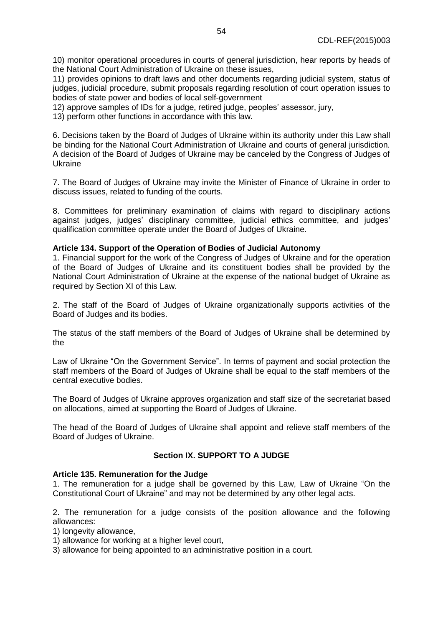10) monitor operational procedures in courts of general jurisdiction, hear reports by heads of the National Court Administration of Ukraine on these issues,

11) provides opinions to draft laws and other documents regarding judicial system, status of judges, judicial procedure, submit proposals regarding resolution of court operation issues to bodies of state power and bodies of local self-government

12) approve samples of IDs for a judge, retired judge, peoples' assessor, jury,

13) perform other functions in accordance with this law.

6. Decisions taken by the Board of Judges of Ukraine within its authority under this Law shall be binding for the National Court Administration of Ukraine and courts of general jurisdiction. A decision of the Board of Judges of Ukraine may be canceled by the Congress of Judges of Ukraine

7. The Board of Judges of Ukraine may invite the Minister of Finance of Ukraine in order to discuss issues, related to funding of the courts.

8. Committees for preliminary examination of claims with regard to disciplinary actions against judges, judges' disciplinary committee, judicial ethics committee, and judges' qualification committee operate under the Board of Judges of Ukraine.

### **Article 134. Support of the Operation of Bodies of Judicial Autonomy**

1. Financial support for the work of the Congress of Judges of Ukraine and for the operation of the Board of Judges of Ukraine and its constituent bodies shall be provided by the National Court Administration of Ukraine at the expense of the national budget of Ukraine as required by Section XI of this Law.

2. The staff of the Board of Judges of Ukraine organizationally supports activities of the Board of Judges and its bodies.

The status of the staff members of the Board of Judges of Ukraine shall be determined by the

Law of Ukraine "On the Government Service". In terms of payment and social protection the staff members of the Board of Judges of Ukraine shall be equal to the staff members of the central executive bodies.

The Board of Judges of Ukraine approves organization and staff size of the secretariat based on allocations, aimed at supporting the Board of Judges of Ukraine.

The head of the Board of Judges of Ukraine shall appoint and relieve staff members of the Board of Judges of Ukraine.

# **Section IX. SUPPORT TO A JUDGE**

### **Article 135. Remuneration for the Judge**

1. The remuneration for a judge shall be governed by this Law, Law of Ukraine "On the Constitutional Court of Ukraine" and may not be determined by any other legal acts.

2. The remuneration for a judge consists of the position allowance and the following allowances:

- 1) longevity allowance,
- 1) allowance for working at a higher level court,
- 3) allowance for being appointed to an administrative position in a court.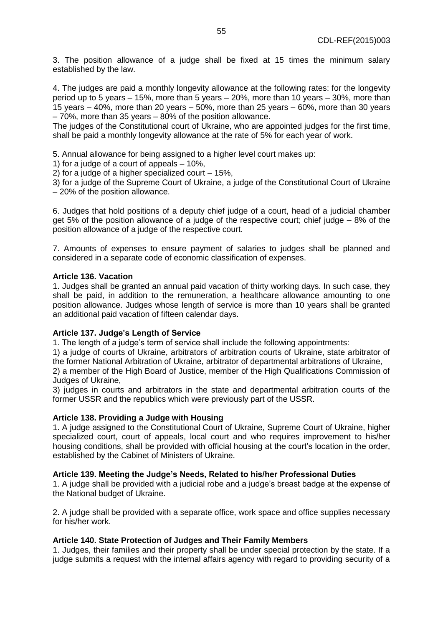3. The position allowance of a judge shall be fixed at 15 times the minimum salary established by the law.

4. The judges are paid a monthly longevity allowance at the following rates: for the longevity period up to 5 years – 15%, more than 5 years – 20%, more than 10 years – 30%, more than 15 years – 40%, more than 20 years – 50%, more than 25 years – 60%, more than 30 years – 70%, more than 35 years – 80% of the position allowance.

The judges of the Constitutional court of Ukraine, who are appointed judges for the first time, shall be paid a monthly longevity allowance at the rate of 5% for each year of work.

5. Annual allowance for being assigned to a higher level court makes up:

1) for a judge of a court of appeals – 10%,

2) for a judge of a higher specialized court – 15%,

3) for a judge of the Supreme Court of Ukraine, a judge of the Constitutional Court of Ukraine – 20% of the position allowance.

6. Judges that hold positions of a deputy chief judge of a court, head of a judicial chamber get 5% of the position allowance of a judge of the respective court; chief judge – 8% of the position allowance of a judge of the respective court.

7. Amounts of expenses to ensure payment of salaries to judges shall be planned and considered in a separate code of economic classification of expenses.

#### **Article 136. Vacation**

1. Judges shall be granted an annual paid vacation of thirty working days. In such case, they shall be paid, in addition to the remuneration, a healthcare allowance amounting to one position allowance. Judges whose length of service is more than 10 years shall be granted an additional paid vacation of fifteen calendar days.

#### **Article 137. Judge's Length of Service**

1. The length of a judge's term of service shall include the following appointments:

1) a judge of courts of Ukraine, arbitrators of arbitration courts of Ukraine, state arbitrator of the former National Arbitration of Ukraine, arbitrator of departmental arbitrations of Ukraine, 2) a member of the High Board of Justice, member of the High Qualifications Commission of

Judges of Ukraine,

3) judges in courts and arbitrators in the state and departmental arbitration courts of the former USSR and the republics which were previously part of the USSR.

### **Article 138. Providing a Judge with Housing**

1. A judge assigned to the Constitutional Court of Ukraine, Supreme Court of Ukraine, higher specialized court, court of appeals, local court and who requires improvement to his/her housing conditions, shall be provided with official housing at the court's location in the order, established by the Cabinet of Ministers of Ukraine.

### **Article 139. Meeting the Judge's Needs, Related to his/her Professional Duties**

1. A judge shall be provided with a judicial robe and a judge's breast badge at the expense of the National budget of Ukraine.

2. A judge shall be provided with a separate office, work space and office supplies necessary for his/her work.

### **Article 140. State Protection of Judges and Their Family Members**

1. Judges, their families and their property shall be under special protection by the state. If a judge submits a request with the internal affairs agency with regard to providing security of a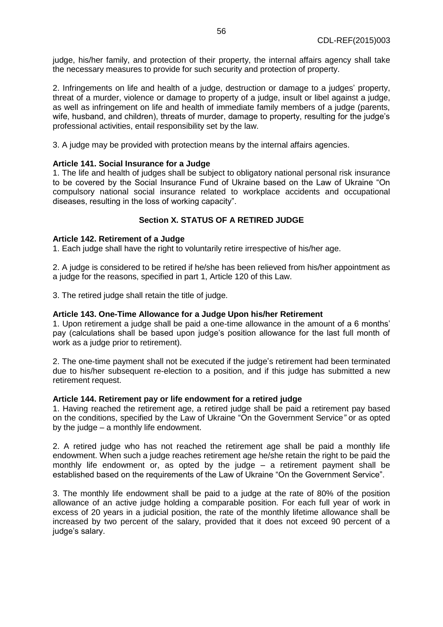judge, his/her family, and protection of their property, the internal affairs agency shall take the necessary measures to provide for such security and protection of property.

2. Infringements on life and health of a judge, destruction or damage to a judges' property, threat of a murder, violence or damage to property of a judge, insult or libel against a judge, as well as infringement on life and health of immediate family members of a judge (parents, wife, husband, and children), threats of murder, damage to property, resulting for the judge's professional activities, entail responsibility set by the law.

3. A judge may be provided with protection means by the internal affairs agencies.

# **Article 141. Social Insurance for a Judge**

1. The life and health of judges shall be subject to obligatory national personal risk insurance to be covered by the Social Insurance Fund of Ukraine based on the Law of Ukraine "On compulsory national social insurance related to workplace accidents and occupational diseases, resulting in the loss of working capacity".

# **Section X. STATUS OF A RETIRED JUDGE**

### **Article 142. Retirement of a Judge**

1. Each judge shall have the right to voluntarily retire irrespective of his/her age.

2. A judge is considered to be retired if he/she has been relieved from his/her appointment as a judge for the reasons, specified in part 1, Article 120 of this Law.

3. The retired judge shall retain the title of judge.

### **Article 143. One-Time Allowance for a Judge Upon his/her Retirement**

1. Upon retirement a judge shall be paid a one-time allowance in the amount of a 6 months' pay (calculations shall be based upon judge's position allowance for the last full month of work as a judge prior to retirement).

2. The one-time payment shall not be executed if the judge's retirement had been terminated due to his/her subsequent re-election to a position, and if this judge has submitted a new retirement request.

#### **Article 144. Retirement pay or life endowment for a retired judge**

1. Having reached the retirement age, a retired judge shall be paid a retirement pay based on the conditions, specified by the Law of Ukraine "On the Government Service*"* or as opted by the judge – a monthly life endowment.

2. A retired judge who has not reached the retirement age shall be paid a monthly life endowment. When such a judge reaches retirement age he/she retain the right to be paid the monthly life endowment or, as opted by the judge – a retirement payment shall be established based on the requirements of the Law of Ukraine "On the Government Service".

3. The monthly life endowment shall be paid to a judge at the rate of 80% of the position allowance of an active judge holding a comparable position. For each full year of work in excess of 20 years in a judicial position, the rate of the monthly lifetime allowance shall be increased by two percent of the salary, provided that it does not exceed 90 percent of a judge's salary.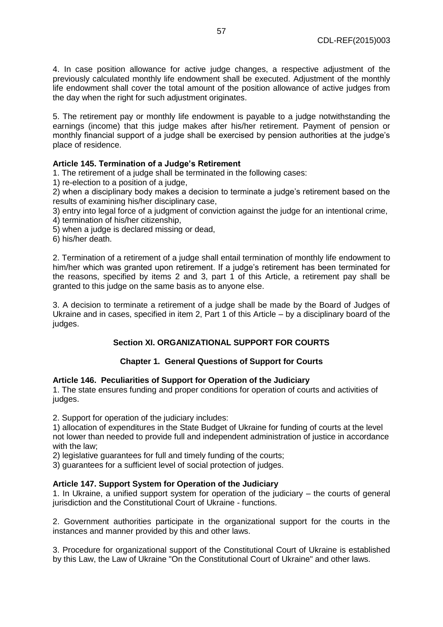4. In case position allowance for active judge changes, a respective adjustment of the previously calculated monthly life endowment shall be executed. Adjustment of the monthly life endowment shall cover the total amount of the position allowance of active judges from the day when the right for such adjustment originates.

5. The retirement pay or monthly life endowment is payable to a judge notwithstanding the earnings (income) that this judge makes after his/her retirement. Payment of pension or monthly financial support of a judge shall be exercised by pension authorities at the judge's place of residence.

# **Article 145. Termination of a Judge's Retirement**

1. The retirement of a judge shall be terminated in the following cases:

1) re-election to a position of a judge,

2) when a disciplinary body makes a decision to terminate a judge's retirement based on the results of examining his/her disciplinary case,

- 3) entry into legal force of a judgment of conviction against the judge for an intentional crime,
- 4) termination of his/her citizenship,
- 5) when a judge is declared missing or dead,
- 6) his/her death.

2. Termination of a retirement of a judge shall entail termination of monthly life endowment to him/her which was granted upon retirement. If a judge's retirement has been terminated for the reasons, specified by items 2 and 3, part 1 of this Article, a retirement pay shall be granted to this judge on the same basis as to anyone else.

3. A decision to terminate a retirement of a judge shall be made by the Board of Judges of Ukraine and in cases, specified in item 2, Part 1 of this Article – by a disciplinary board of the judges.

# **Section XI. ORGANIZATIONAL SUPPORT FOR COURTS**

# **Chapter 1. General Questions of Support for Courts**

# **Article 146. Peculiarities of Support for Operation of the Judiciary**

1. The state ensures funding and proper conditions for operation of courts and activities of judges.

2. Support for operation of the judiciary includes:

1) allocation of expenditures in the State Budget of Ukraine for funding of courts at the level not lower than needed to provide full and independent administration of justice in accordance with the law;

2) legislative guarantees for full and timely funding of the courts;

3) guarantees for a sufficient level of social protection of judges.

# **Article 147. Support System for Operation of the Judiciary**

1. In Ukraine, a unified support system for operation of the judiciary – the courts of general jurisdiction and the Constitutional Court of Ukraine - functions.

2. Government authorities participate in the organizational support for the courts in the instances and manner provided by this and other laws.

3. Procedure for organizational support of the Constitutional Court of Ukraine is established by this Law, the Law of Ukraine "On the Constitutional Court of Ukraine" and other laws.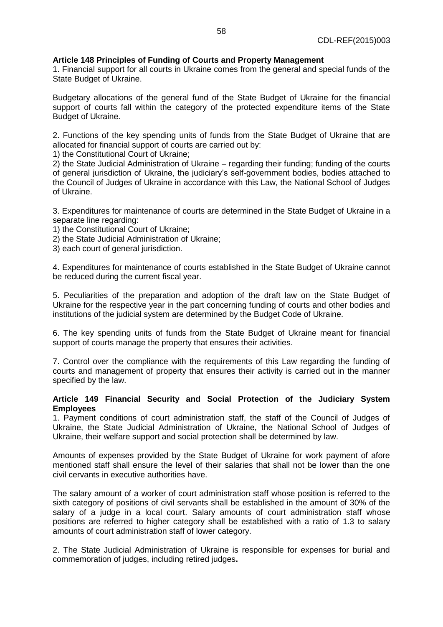# **Article 148 Principles of Funding of Courts and Property Management**

1. Financial support for all courts in Ukraine comes from the general and special funds of the State Budget of Ukraine.

Budgetary allocations of the general fund of the State Budget of Ukraine for the financial support of courts fall within the category of the protected expenditure items of the State Budget of Ukraine.

2. Functions of the key spending units of funds from the State Budget of Ukraine that are allocated for financial support of courts are carried out by:

1) the Constitutional Court of Ukraine;

2) the State Judicial Administration of Ukraine – regarding their funding; funding of the courts of general jurisdiction of Ukraine, the judiciary's self-government bodies, bodies attached to the Council of Judges of Ukraine in accordance with this Law, the National School of Judges of Ukraine.

3. Expenditures for maintenance of courts are determined in the State Budget of Ukraine in a separate line regarding:

- 1) the Constitutional Court of Ukraine;
- 2) the State Judicial Administration of Ukraine;
- 3) each court of general jurisdiction.

4. Expenditures for maintenance of courts established in the State Budget of Ukraine cannot be reduced during the current fiscal year.

5. Peculiarities of the preparation and adoption of the draft law on the State Budget of Ukraine for the respective year in the part concerning funding of courts and other bodies and institutions of the judicial system are determined by the Budget Code of Ukraine.

6. The key spending units of funds from the State Budget of Ukraine meant for financial support of courts manage the property that ensures their activities.

7. Control over the compliance with the requirements of this Law regarding the funding of courts and management of property that ensures their activity is carried out in the manner specified by the law.

# **Article 149 Financial Security and Social Protection of the Judiciary System Employees**

1. Payment conditions of court administration staff, the staff of the Council of Judges of Ukraine, the State Judicial Administration of Ukraine, the National School of Judges of Ukraine, their welfare support and social protection shall be determined by law.

Amounts of expenses provided by the State Budget of Ukraine for work payment of afore mentioned staff shall ensure the level of their salaries that shall not be lower than the one civil cervants in executive authorities have.

The salary amount of a worker of court administration staff whose position is referred to the sixth category of positions of civil servants shall be established in the amount of 30% of the salary of a judge in a local court. Salary amounts of court administration staff whose positions are referred to higher category shall be established with a ratio of 1.3 to salary amounts of court administration staff of lower category.

2. The State Judicial Administration of Ukraine is responsible for expenses for burial and commemoration of judges, including retired judges**.**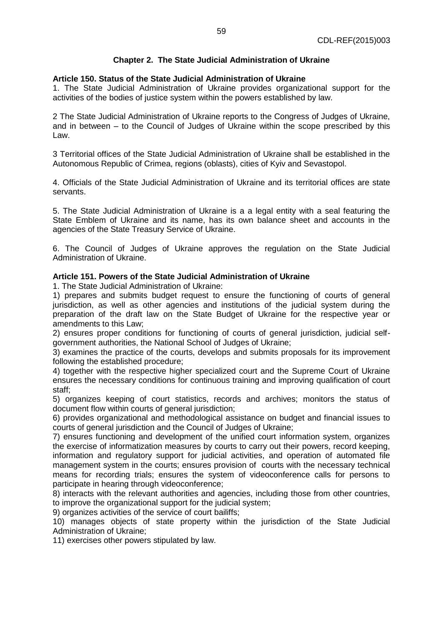# **Chapter 2. The State Judicial Administration of Ukraine**

# **Article 150. Status of the State Judicial Administration of Ukraine**

1. The State Judicial Administration of Ukraine provides organizational support for the activities of the bodies of justice system within the powers established by law.

2 The State Judicial Administration of Ukraine reports to the Congress of Judges of Ukraine, and in between – to the Council of Judges of Ukraine within the scope prescribed by this Law.

3 Territorial offices of the State Judicial Administration of Ukraine shall be established in the Autonomous Republic of Crimea, regions (oblasts), cities of Kyiv and Sevastopol.

4. Officials of the State Judicial Administration of Ukraine and its territorial offices are state servants.

5. The State Judicial Administration of Ukraine is a a legal entity with a seal featuring the State Emblem of Ukraine and its name, has its own balance sheet and accounts in the agencies of the State Treasury Service of Ukraine.

6. The Council of Judges of Ukraine approves the regulation on the State Judicial Administration of Ukraine.

# **Article 151. Powers of the State Judicial Administration of Ukraine**

1. The State Judicial Administration of Ukraine:

1) prepares and submits budget request to ensure the functioning of courts of general jurisdiction, as well as other agencies and institutions of the judicial system during the preparation of the draft law on the State Budget of Ukraine for the respective year or amendments to this Law;

2) ensures proper conditions for functioning of courts of general jurisdiction, judicial selfgovernment authorities, the National School of Judges of Ukraine;

3) examines the practice of the courts, develops and submits proposals for its improvement following the established procedure;

4) together with the respective higher specialized court and the Supreme Court of Ukraine ensures the necessary conditions for continuous training and improving qualification of court staff;

5) organizes keeping of court statistics, records and archives; monitors the status of document flow within courts of general jurisdiction;

6) provides organizational and methodological assistance on budget and financial issues to courts of general jurisdiction and the Council of Judges of Ukraine;

7) ensures functioning and development of the unified court information system, organizes the exercise of informatization measures by courts to carry out their powers, record keeping, information and regulatory support for judicial activities, and operation of automated file management system in the courts; ensures provision of courts with the necessary technical means for recording trials; ensures the system of videoconference calls for persons to participate in hearing through videoconference;

8) interacts with the relevant authorities and agencies, including those from other countries, to improve the organizational support for the judicial system;

9) organizes activities of the service of court bailiffs;

10) manages objects of state property within the jurisdiction of the State Judicial Administration of Ukraine;

11) exercises other powers stipulated by law.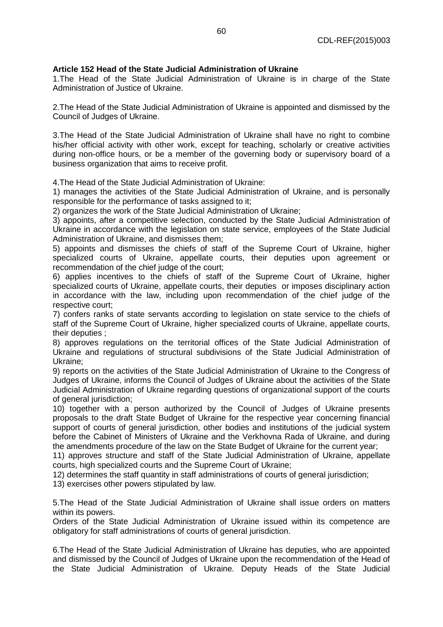# **Article 152 Head of the State Judicial Administration of Ukraine**

1.The Head of the State Judicial Administration of Ukraine is in charge of the State Administration of Justice of Ukraine.

2.The Head of the State Judicial Administration of Ukraine is appointed and dismissed by the Council of Judges of Ukraine.

3.The Head of the State Judicial Administration of Ukraine shall have no right to combine his/her official activity with other work, except for teaching, scholarly or creative activities during non-office hours, or be a member of the governing body or supervisory board of a business organization that aims to receive profit.

4.The Head of the State Judicial Administration of Ukraine:

1) manages the activities of the State Judicial Administration of Ukraine, and is personally responsible for the performance of tasks assigned to it;

2) organizes the work of the State Judicial Administration of Ukraine;

3) appoints, after a competitive selection, conducted by the State Judicial Administration of Ukraine in accordance with the legislation on state service, employees of the State Judicial Administration of Ukraine, and dismisses them;

5) appoints and dismisses the chiefs of staff of the Supreme Court of Ukraine, higher specialized courts of Ukraine, appellate courts, their deputies upon agreement or recommendation of the chief judge of the court;

6) applies incentives to the chiefs of staff of the Supreme Court of Ukraine, higher specialized courts of Ukraine, appellate courts, their deputies or imposes disciplinary action in accordance with the law, including upon recommendation of the chief judge of the respective court;

7) confers ranks of state servants according to legislation on state service to the chiefs of staff of the Supreme Court of Ukraine, higher specialized courts of Ukraine, appellate courts, their deputies ;

8) approves regulations on the territorial offices of the State Judicial Administration of Ukraine and regulations of structural subdivisions of the State Judicial Administration of Ukraine;

9) reports on the activities of the State Judicial Administration of Ukraine to the Congress of Judges of Ukraine, informs the Council of Judges of Ukraine about the activities of the State Judicial Administration of Ukraine regarding questions of organizational support of the courts of general jurisdiction;

10) together with a person authorized by the Council of Judges of Ukraine presents proposals to the draft State Budget of Ukraine for the respective year concerning financial support of courts of general jurisdiction, other bodies and institutions of the judicial system before the Cabinet of Ministers of Ukraine and the Verkhovna Rada of Ukraine, and during the amendments procedure of the law on the State Budget of Ukraine for the current year;

11) approves structure and staff of the State Judicial Administration of Ukraine, appellate courts, high specialized courts and the Supreme Court of Ukraine;

12) determines the staff quantity in staff administrations of courts of general jurisdiction;

13) exercises other powers stipulated by law.

5.The Head of the State Judicial Administration of Ukraine shall issue orders on matters within its powers.

Orders of the State Judicial Administration of Ukraine issued within its competence are obligatory for staff administrations of courts of general jurisdiction.

6.The Head of the State Judicial Administration of Ukraine has deputies, who are appointed and dismissed by the Council of Judges of Ukraine upon the recommendation of the Head of the State Judicial Administration of Ukraine. Deputy Heads of the State Judicial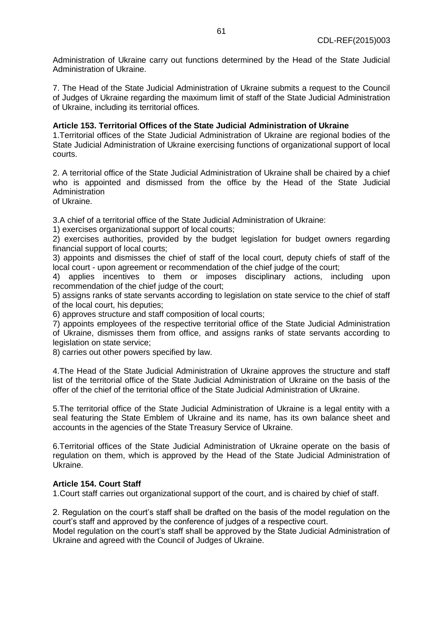Administration of Ukraine carry out functions determined by the Head of the State Judicial Administration of Ukraine.

7. The Head of the State Judicial Administration of Ukraine submits a request to the Council of Judges of Ukraine regarding the maximum limit of staff of the State Judicial Administration of Ukraine, including its territorial offices.

# **Article 153. Territorial Offices of the State Judicial Administration of Ukraine**

1.Territorial offices of the State Judicial Administration of Ukraine are regional bodies of the State Judicial Administration of Ukraine exercising functions of organizational support of local courts.

2. A territorial office of the State Judicial Administration of Ukraine shall be chaired by a chief who is appointed and dismissed from the office by the Head of the State Judicial **Administration** 

of Ukraine.

3.A chief of a territorial office of the State Judicial Administration of Ukraine:

1) exercises organizational support of local courts;

2) exercises authorities, provided by the budget legislation for budget owners regarding financial support of local courts;

3) appoints and dismisses the chief of staff of the local court, deputy chiefs of staff of the local court - upon agreement or recommendation of the chief judge of the court;

4) applies incentives to them or imposes disciplinary actions, including upon recommendation of the chief judge of the court;

5) assigns ranks of state servants according to legislation on state service to the chief of staff of the local court, his deputies;

6) approves structure and staff composition of local courts;

7) appoints employees of the respective territorial office of the State Judicial Administration of Ukraine, dismisses them from office, and assigns ranks of state servants according to legislation on state service;

8) carries out other powers specified by law.

4.The Head of the State Judicial Administration of Ukraine approves the structure and staff list of the territorial office of the State Judicial Administration of Ukraine on the basis of the offer of the chief of the territorial office of the State Judicial Administration of Ukraine.

5.The territorial office of the State Judicial Administration of Ukraine is a legal entity with a seal featuring the State Emblem of Ukraine and its name, has its own balance sheet and accounts in the agencies of the State Treasury Service of Ukraine.

6.Territorial offices of the State Judicial Administration of Ukraine operate on the basis of regulation on them, which is approved by the Head of the State Judicial Administration of Ukraine.

# **Article 154. Court Staff**

1.Court staff carries out organizational support of the court, and is chaired by chief of staff.

2. Regulation on the court's staff shall be drafted on the basis of the model regulation on the court's staff and approved by the conference of judges of a respective court.

Model regulation on the court's staff shall be approved by the State Judicial Administration of Ukraine and agreed with the Council of Judges of Ukraine.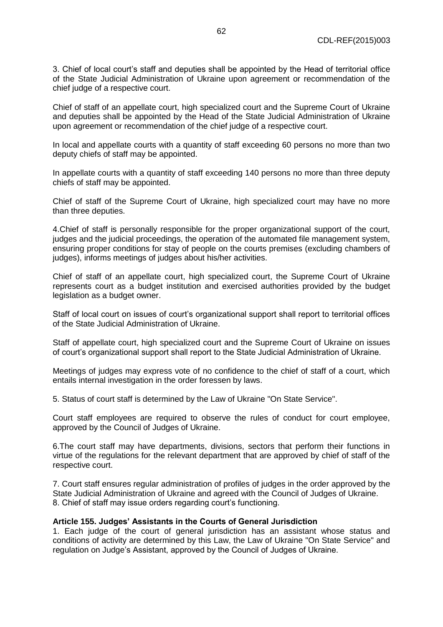3. Chief of local court's staff and deputies shall be appointed by the Head of territorial office of the State Judicial Administration of Ukraine upon agreement or recommendation of the chief judge of a respective court.

Chief of staff of an appellate court, high specialized court and the Supreme Court of Ukraine and deputies shall be appointed by the Head of the State Judicial Administration of Ukraine upon agreement or recommendation of the chief judge of a respective court.

In local and appellate courts with a quantity of staff exceeding 60 persons no more than two deputy chiefs of staff may be appointed.

In appellate courts with a quantity of staff exceeding 140 persons no more than three deputy chiefs of staff may be appointed.

Chief of staff of the Supreme Court of Ukraine, high specialized court may have no more than three deputies.

4.Chief of staff is personally responsible for the proper organizational support of the court, judges and the judicial proceedings, the operation of the automated file management system, ensuring proper conditions for stay of people on the courts premises (excluding chambers of judges), informs meetings of judges about his/her activities.

Chief of staff of an appellate court, high specialized court, the Supreme Court of Ukraine represents court as a budget institution and exercised authorities provided by the budget legislation as a budget owner.

Staff of local court on issues of court's organizational support shall report to territorial offices of the State Judicial Administration of Ukraine.

Staff of appellate court, high specialized court and the Supreme Court of Ukraine on issues of court's organizational support shall report to the State Judicial Administration of Ukraine.

Meetings of judges may express vote of no confidence to the chief of staff of a court, which entails internal investigation in the order foressen by laws.

5. Status of court staff is determined by the Law of Ukraine "On State Service".

Court staff employees are required to observe the rules of conduct for court employee, approved by the Council of Judges of Ukraine.

6.The court staff may have departments, divisions, sectors that perform their functions in virtue of the regulations for the relevant department that are approved by chief of staff of the respective court.

7. Court staff ensures regular administration of profiles of judges in the order approved by the State Judicial Administration of Ukraine and agreed with the Council of Judges of Ukraine. 8. Chief of staff may issue orders regarding court's functioning.

### **Article 155. Judges' Assistants in the Courts of General Jurisdiction**

1. Each judge of the court of general jurisdiction has an assistant whose status and conditions of activity are determined by this Law, the Law of Ukraine "On State Service" and regulation on Judge's Assistant, approved by the Council of Judges of Ukraine.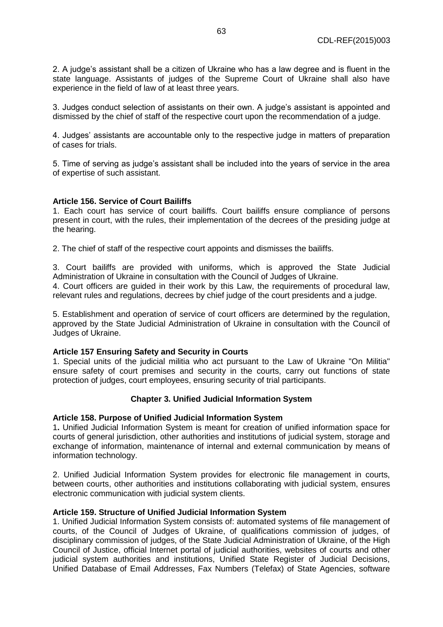2. A judge's assistant shall be a citizen of Ukraine who has a law degree and is fluent in the state language. Assistants of judges of the Supreme Court of Ukraine shall also have experience in the field of law of at least three years.

3. Judges conduct selection of assistants on their own. A judge's assistant is appointed and dismissed by the chief of staff of the respective court upon the recommendation of a judge.

4. Judges' assistants are accountable only to the respective judge in matters of preparation of cases for trials.

5. Time of serving as judge's assistant shall be included into the years of service in the area of expertise of such assistant.

# **Article 156. Service of Court Bailiffs**

1. Each court has service of court bailiffs. Court bailiffs ensure compliance of persons present in court, with the rules, their implementation of the decrees of the presiding judge at the hearing.

2. The chief of staff of the respective court appoints and dismisses the bailiffs.

3. Court bailiffs are provided with uniforms, which is approved the State Judicial Administration of Ukraine in consultation with the Council of Judges of Ukraine.

4. Court officers are guided in their work by this Law, the requirements of procedural law, relevant rules and regulations, decrees by chief judge of the court presidents and a judge.

5. Establishment and operation of service of court officers are determined by the regulation, approved by the State Judicial Administration of Ukraine in consultation with the Council of Judges of Ukraine.

### **Article 157 Ensuring Safety and Security in Courts**

1. Special units of the judicial militia who act pursuant to the Law of Ukraine "On Militia" ensure safety of court premises and security in the courts, carry out functions of state protection of judges, court employees, ensuring security of trial participants.

### **Chapter 3. Unified Judicial Information System**

### **Article 158. Purpose of Unified Judicial Information System**

1**.** Unified Judicial Information System is meant for creation of unified information space for courts of general jurisdiction, other authorities and institutions of judicial system, storage and exchange of information, maintenance of internal and external communication by means of information technology.

2. Unified Judicial Information System provides for electronic file management in courts, between courts, other authorities and institutions collaborating with judicial system, ensures electronic communication with judicial system clients.

### **Article 159. Structure of Unified Judicial Information System**

1. Unified Judicial Information System consists of: automated systems of file management of courts, of the Council of Judges of Ukraine, of qualifications commission of judges, of disciplinary commission of judges, of the State Judicial Administration of Ukraine, of the High Council of Justice, official Internet portal of judicial authorities, websites of courts and other judicial system authorities and institutions, Unified State Register of Judicial Decisions, Unified Database of Email Addresses, Fax Numbers (Telefax) of State Agencies, software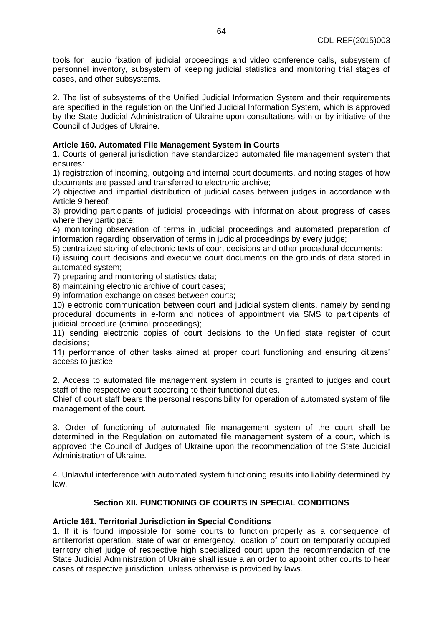tools for audio fixation of judicial proceedings and video conference calls, subsystem of personnel inventory, subsystem of keeping judicial statistics and monitoring trial stages of cases, and other subsystems.

2. The list of subsystems of the Unified Judicial Information System and their requirements are specified in the regulation on the Unified Judicial Information System, which is approved by the State Judicial Administration of Ukraine upon consultations with or by initiative of the Council of Judges of Ukraine.

# **Article 160. Automated File Management System in Courts**

1. Courts of general jurisdiction have standardized automated file management system that ensures:

1) registration of incoming, outgoing and internal court documents, and noting stages of how documents are passed and transferred to electronic archive;

2) objective and impartial distribution of judicial cases between judges in accordance with Article 9 hereof;

3) providing participants of judicial proceedings with information about progress of cases where they participate;

4) monitoring observation of terms in judicial proceedings and automated preparation of information regarding observation of terms in judicial proceedings by every judge;

5) centralized storing of electronic texts of court decisions and other procedural documents;

6) issuing court decisions and executive court documents on the grounds of data stored in automated system;

7) preparing and monitoring of statistics data;

8) maintaining electronic archive of court cases;

9) information exchange on cases between courts;

10) electronic communication between court and judicial system clients, namely by sending procedural documents in e-form and notices of appointment via SMS to participants of judicial procedure (criminal proceedings);

11) sending electronic copies of court decisions to the Unified state register of court decisions;

11) performance of other tasks aimed at proper court functioning and ensuring citizens' access to justice.

2. Access to automated file management system in courts is granted to judges and court staff of the respective court according to their functional duties.

Chief of court staff bears the personal responsibility for operation of automated system of file management of the court.

3. Order of functioning of automated file management system of the court shall be determined in the Regulation on automated file management system of a court, which is approved the Council of Judges of Ukraine upon the recommendation of the State Judicial Administration of Ukraine.

4. Unlawful interference with automated system functioning results into liability determined by law.

# **Section XII. FUNCTIONING OF COURTS IN SPECIAL CONDITIONS**

### **Article 161. Territorial Jurisdiction in Special Conditions**

1. If it is found impossible for some courts to function properly as a consequence of antiterrorist operation, state of war or emergency, location of court on temporarily occupied territory chief judge of respective high specialized court upon the recommendation of the State Judicial Administration of Ukraine shall issue a an order to appoint other courts to hear cases of respective jurisdiction, unless otherwise is provided by laws.